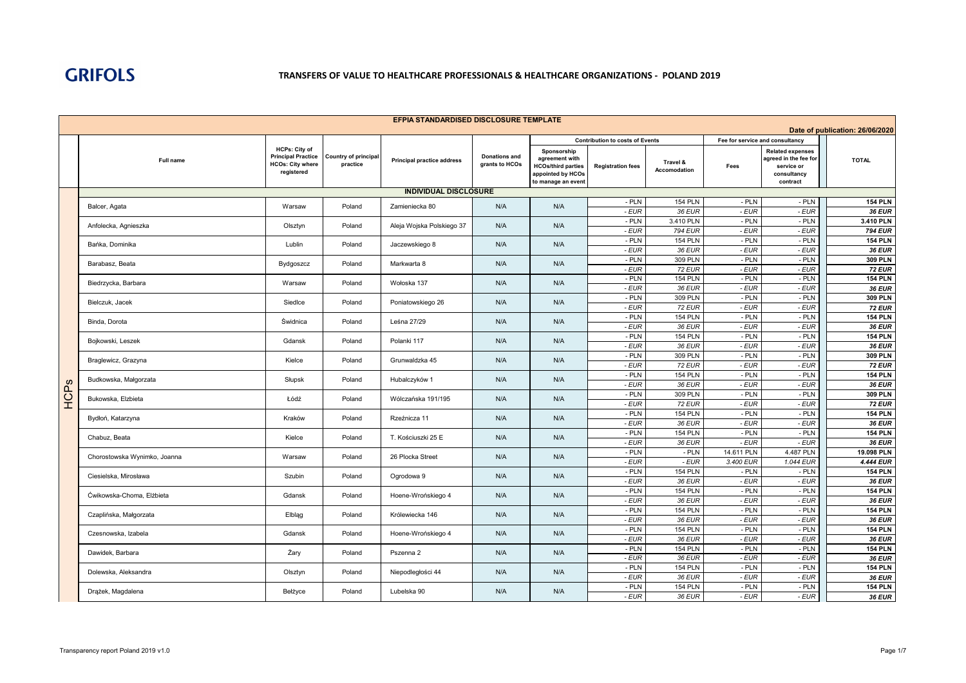|             | EFPIA STANDARDISED DISCLOSURE TEMPLATE                     |                                                                                            |                                         |                                   |                                        |                                                                                                       |                                        |                          |                                 |                                                                                           |                                 |  |
|-------------|------------------------------------------------------------|--------------------------------------------------------------------------------------------|-----------------------------------------|-----------------------------------|----------------------------------------|-------------------------------------------------------------------------------------------------------|----------------------------------------|--------------------------|---------------------------------|-------------------------------------------------------------------------------------------|---------------------------------|--|
|             |                                                            |                                                                                            |                                         |                                   |                                        |                                                                                                       |                                        |                          |                                 |                                                                                           | Date of publication: 26/06/2020 |  |
|             |                                                            |                                                                                            |                                         |                                   |                                        |                                                                                                       | <b>Contribution to costs of Events</b> |                          | Fee for service and consultancy |                                                                                           |                                 |  |
|             | Full name                                                  | <b>HCPs: City of</b><br><b>Principal Practice</b><br><b>HCOs: City where</b><br>registered | <b>Country of principal</b><br>practice | <b>Principal practice address</b> | <b>Donations and</b><br>grants to HCOs | Sponsorship<br>agreement with<br><b>HCOs/third parties</b><br>appointed by HCOs<br>to manage an event | <b>Registration fees</b>               | Travel &<br>Accomodation | Fees                            | <b>Related expenses</b><br>agreed in the fee for<br>service or<br>consultancy<br>contract | <b>TOTAL</b>                    |  |
|             |                                                            |                                                                                            |                                         | <b>INDIVIDUAL DISCLOSURE</b>      |                                        |                                                                                                       |                                        |                          |                                 |                                                                                           |                                 |  |
|             | Balcer, Agata                                              | Warsaw                                                                                     | Poland                                  | Zamieniecka 80                    | N/A                                    | N/A                                                                                                   | - PLN                                  | <b>154 PLN</b>           | $-$ PLN                         | - PLN                                                                                     | <b>154 PLN</b>                  |  |
|             |                                                            |                                                                                            |                                         |                                   |                                        |                                                                                                       | - EUR                                  | 36 EUR                   | - EUR                           | $-EUR$                                                                                    | 36 EUR                          |  |
|             | Anfolecka, Agnieszka                                       | Olsztyn                                                                                    | Poland                                  | Aleja Wojska Polskiego 37         | N/A                                    | N/A                                                                                                   | $-$ PLN                                | 3.410 PLN                | $-$ PLN                         | $-$ PLN                                                                                   | 3.410 PLN                       |  |
|             |                                                            |                                                                                            |                                         |                                   |                                        |                                                                                                       | - EUR                                  | <b>794 EUR</b>           | - EUR                           | $-EUR$                                                                                    | <b>794 EUR</b>                  |  |
|             | Bańka, Dominika                                            | Lublin                                                                                     | Poland                                  | Jaczewskiego 8                    | N/A                                    | N/A                                                                                                   | $-$ PLN                                | <b>154 PLN</b>           | $-$ PLN                         | - PLN                                                                                     | <b>154 PLN</b>                  |  |
|             |                                                            |                                                                                            |                                         |                                   |                                        |                                                                                                       | - EUR<br>- PLN                         | 36 EUR<br>309 PLN        | - EUR<br>- PLN                  | $-EUR$<br>- PLN                                                                           | 36 EUR<br>309 PLN               |  |
|             | Barabasz, Beata                                            | Bydgoszcz                                                                                  | Poland                                  | Markwarta 8                       | N/A                                    | N/A                                                                                                   | - EUR                                  | <b>72 EUR</b>            | - EUR                           | $-EUR$                                                                                    | <b>72 EUR</b>                   |  |
|             |                                                            |                                                                                            |                                         |                                   |                                        |                                                                                                       | - PLN                                  | <b>154 PLN</b>           | $-$ PLN                         | - PLN                                                                                     | <b>154 PLN</b>                  |  |
|             | Biedrzycka, Barbara                                        | Warsaw                                                                                     | Poland                                  | Wołoska 137                       | N/A                                    | N/A                                                                                                   | - EUR                                  | 36 EUR                   | - EUR                           | $-EUR$                                                                                    | 36 EUR                          |  |
|             |                                                            |                                                                                            |                                         |                                   |                                        |                                                                                                       | - PLN                                  | 309 PLN                  | - PLN                           | $-$ PLN                                                                                   | 309 PLN                         |  |
|             | Bielczuk, Jacek                                            | SiedIce                                                                                    | Poland                                  | Poniatowskiego 26                 | N/A                                    | N/A                                                                                                   | - EUR                                  | <b>72 EUR</b>            | - EUR                           | $-EUR$                                                                                    | <b>72 EUR</b>                   |  |
|             |                                                            |                                                                                            |                                         |                                   |                                        |                                                                                                       | - PLN                                  | <b>154 PLN</b>           | - PLN                           | - PLN                                                                                     | <b>154 PLN</b>                  |  |
|             | Binda, Dorota                                              | Świdnica                                                                                   | Poland                                  | Leśna 27/29                       | N/A                                    | N/A                                                                                                   | - EUR                                  | 36 EUR                   | - EUR                           | - EUR                                                                                     | 36 EUR                          |  |
|             | Bojkowski, Leszek                                          | Gdansk                                                                                     | Poland                                  | Polanki 117                       | N/A                                    | N/A                                                                                                   | - PLN                                  | <b>154 PLN</b>           | - PLN                           | - PLN                                                                                     | <b>154 PLN</b>                  |  |
|             |                                                            |                                                                                            |                                         |                                   |                                        |                                                                                                       | - EUR                                  | 36 EUR                   | - EUR                           | $-EUR$                                                                                    | <b>36 EUR</b>                   |  |
|             | Braglewicz, Grazyna                                        | Kielce                                                                                     | Poland                                  | Grunwaldzka 45                    | N/A                                    | N/A                                                                                                   | $-$ PLN                                | 309 PLN                  | - PLN                           | - PLN                                                                                     | 309 PLN                         |  |
|             |                                                            |                                                                                            |                                         |                                   |                                        |                                                                                                       | - EUR                                  | <b>72 EUR</b>            | - EUR                           | $-EUR$                                                                                    | <b>72 EUR</b>                   |  |
|             | Budkowska, Małgorzata<br>Słupsk                            |                                                                                            | Poland                                  | Hubalczyków 1                     | N/A                                    | N/A                                                                                                   | - PLN                                  | <b>154 PLN</b>           | - PLN                           | $-$ PLN                                                                                   | <b>154 PLN</b>                  |  |
| <b>HCPs</b> |                                                            |                                                                                            |                                         |                                   |                                        |                                                                                                       | - EUR<br>- PLN                         | 36 EUR<br>309 PLN        | - EUR<br>$-$ PLN                | $-EUR$<br>$-$ PLN                                                                         | <b>36 EUR</b><br>309 PLN        |  |
|             | Bukowska, Elzbieta<br>Łódź<br>Poland<br>Wólczańska 191/195 | N/A                                                                                        | N/A                                     | - EUR                             | <b>72 EUR</b>                          | - EUR                                                                                                 | $-EUR$                                 | <b>72 EUR</b>            |                                 |                                                                                           |                                 |  |
|             |                                                            |                                                                                            |                                         |                                   |                                        |                                                                                                       | - PLN                                  | <b>154 PLN</b>           | $-$ PLN                         | $-$ PLN                                                                                   | <b>154 PLN</b>                  |  |
|             | Bydłoń, Katarzyna                                          | Kraków                                                                                     | Poland                                  | Rzeźnicza 11                      | N/A                                    | N/A                                                                                                   | - EUR                                  | 36 EUR                   | - EUR                           | $-EUR$                                                                                    | 36 EUR                          |  |
|             |                                                            |                                                                                            |                                         |                                   |                                        |                                                                                                       | - PLN                                  | <b>154 PLN</b>           | $-$ PLN                         | - PLN                                                                                     | <b>154 PLN</b>                  |  |
|             | Chabuz, Beata                                              | Kielce                                                                                     | Poland                                  | T. Kościuszki 25 E                |                                        |                                                                                                       | - EUR                                  | 36 EUR                   | $-EUR$                          | $-EUR$                                                                                    | 36 EUR                          |  |
|             |                                                            | Warsaw                                                                                     | Poland                                  | 26 Plocka Street                  |                                        |                                                                                                       | - PLN                                  | $-$ PLN                  | 14.611 PLN                      | 4.487 PLN                                                                                 | 19.098 PLN                      |  |
|             | Chorostowska Wynimko, Joanna                               |                                                                                            |                                         |                                   |                                        |                                                                                                       | - EUR                                  | - EUR                    | 3.400 EUR                       | 1.044 EUR                                                                                 | 4.444 EUR                       |  |
|             | Ciesielska, Mirosława                                      | Szubin                                                                                     | Poland                                  | Ogrodowa 9                        | N/A<br>N/A<br>N/A<br>N/A<br>N/A<br>N/A | $-$ PLN                                                                                               | <b>154 PLN</b>                         | - PLN                    | - PLN                           | <b>154 PLN</b>                                                                            |                                 |  |
|             |                                                            |                                                                                            |                                         |                                   |                                        |                                                                                                       | - EUR                                  | 36 EUR                   | $-EUR$                          | $-EUR$                                                                                    | <b>36 EUR</b>                   |  |
|             | Ćwikowska-Choma, Elżbieta                                  | Gdansk                                                                                     | Poland                                  | Hoene-Wrońskiego 4                | N/A                                    | N/A                                                                                                   | $-$ PLN                                | <b>154 PLN</b>           | - PLN                           | - PLN                                                                                     | <b>154 PLN</b>                  |  |
|             |                                                            |                                                                                            |                                         |                                   |                                        |                                                                                                       | - EUR                                  | 36 EUR                   | - EUR                           | $-EUR$                                                                                    | <b>36 EUR</b>                   |  |
|             | Czaplińska, Małgorzata                                     | Elblag                                                                                     | Poland                                  | Królewiecka 146                   | N/A                                    | N/A                                                                                                   | - PLN<br>- EUR                         | <b>154 PLN</b><br>36 EUR | - PLN<br>- EUR                  | - PLN<br>$-EUR$                                                                           | <b>154 PLN</b><br>36 EUR        |  |
|             |                                                            |                                                                                            |                                         |                                   |                                        |                                                                                                       | - PLN                                  | <b>154 PLN</b>           | - PLN                           | - PLN                                                                                     | <b>154 PLN</b>                  |  |
|             | Czesnowska, Izabela                                        | Gdansk                                                                                     | Poland                                  | Hoene-Wrońskiego 4                | N/A                                    | N/A                                                                                                   | - EUR                                  | 36 EUR                   | - EUR                           | $-EUR$                                                                                    | 36 EUR                          |  |
|             |                                                            |                                                                                            |                                         |                                   |                                        |                                                                                                       | $-$ PLN                                | <b>154 PLN</b>           | - PLN                           | $-$ PLN                                                                                   | <b>154 PLN</b>                  |  |
|             | Dawidek, Barbara                                           | Żary                                                                                       | Poland                                  | Pszenna 2                         | N/A                                    | N/A                                                                                                   | - EUR                                  | 36 EUR                   | - EUR                           | $-EUR$                                                                                    | 36 EUR                          |  |
|             | Dolewska, Aleksandra                                       |                                                                                            | N/A                                     | N/A                               | - PLN                                  | <b>154 PLN</b>                                                                                        | - PLN                                  | - PLN                    | <b>154 PLN</b>                  |                                                                                           |                                 |  |
|             |                                                            | Olsztyn                                                                                    | Poland                                  | Niepodległości 44                 |                                        |                                                                                                       | - EUR                                  | 36 EUR                   | - EUR                           | $-EUR$                                                                                    | 36 EUR                          |  |
|             | Drążek, Magdalena                                          | Bełżyce                                                                                    | Poland                                  | Lubelska 90                       | N/A                                    | N/A                                                                                                   | - PLN                                  | <b>154 PLN</b>           | - PLN                           | - PLN                                                                                     | <b>154 PLN</b>                  |  |
|             |                                                            |                                                                                            |                                         |                                   |                                        |                                                                                                       | - EUR                                  | 36 EUR                   | - EUR                           | - EUR                                                                                     | <b>36 EUR</b>                   |  |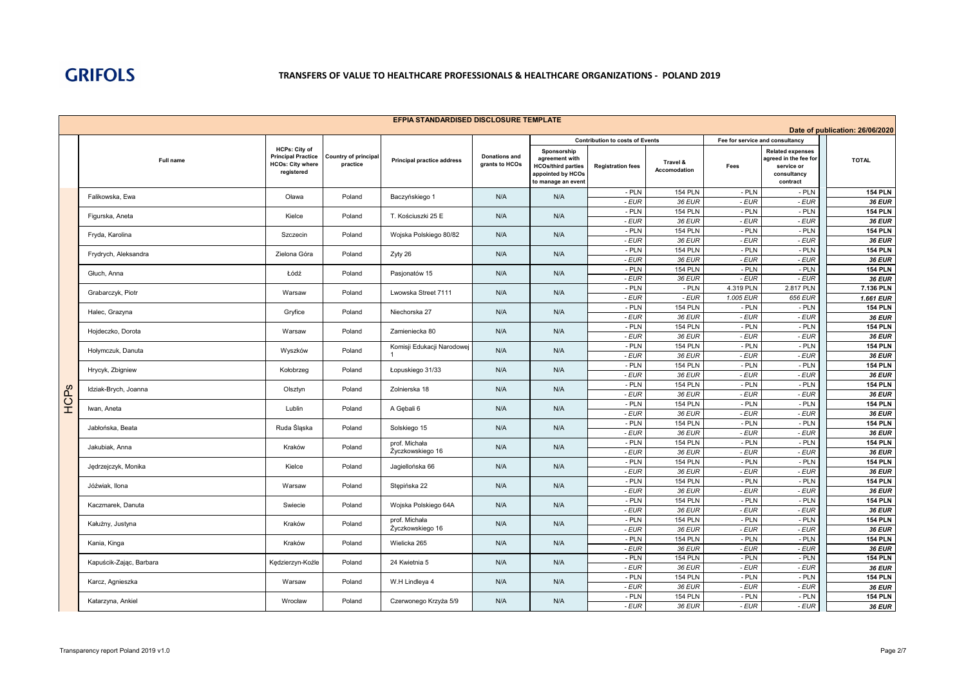| Date of publication: 26/06/2020<br>Fee for service and consultancy<br><b>Contribution to costs of Events</b><br><b>HCPs: City of</b><br>Sponsorship<br><b>Related expenses</b><br><b>Principal Practice</b><br>Country of principal<br><b>Donations and</b><br>agreement with<br>agreed in the fee for<br><b>TOTAL</b><br>Full name<br><b>Principal practice address</b><br>Travel &<br>practice<br><b>HCOs: City where</b><br>grants to HCOs<br><b>HCOs/third parties</b><br><b>Registration fees</b><br>Fees<br>service or<br>Accomodation<br>registered<br>appointed by HCOs<br>consultancy<br>to manage an event<br>contract<br>- PLN<br><b>154 PLN</b><br>- PLN<br>- PLN<br><b>154 PLN</b><br>Falikowska, Ewa<br>N/A<br>N/A<br>Oława<br>Poland<br>Baczyńskiego 1<br>- EUR<br>36 EUR<br>- EUR<br>- EUR<br>36 EUR<br><b>154 PLN</b><br>- PLN<br><b>154 PLN</b><br>- PLN<br>- PLN<br>N/A<br>N/A<br>Figurska, Aneta<br>Kielce<br>Poland<br>T. Kościuszki 25 E<br>- EUR<br>36 EUR<br>- EUR<br>36 EUR<br>- EUR<br><b>154 PLN</b><br>- PLN<br><b>154 PLN</b><br>- PLN<br>- PLN<br>Poland<br>N/A<br>N/A<br>Fryda, Karolina<br>Szczecin<br>Wojska Polskiego 80/82<br>- EUR<br>- EUR<br>$-EUR$<br>36 EUR<br>36 EUR<br>- PLN<br><b>154 PLN</b><br>$-$ PLN<br>$-$ PLN<br><b>154 PLN</b><br>Poland<br>N/A<br>N/A<br>Frydrych, Aleksandra<br>Zielona Góra<br>Zyty 26<br>- EUR<br>36 EUR<br>- EUR<br>$-EUR$<br>36 EUR<br>$-$ PLN<br>- PLN<br>- PLN<br><b>154 PLN</b><br><b>154 PLN</b><br>Łódź<br>N/A<br>N/A<br>Głuch, Anna<br>Poland<br>Pasjonatów 15<br>$-EUR$<br>36 EUR<br>- EUR<br>$-EUR$<br><b>36 EUR</b><br>- PLN<br>$-$ PLN<br>2.817 PLN<br>4.319 PLN<br>7.136 PLN<br>Grabarczyk, Piotr<br>Poland<br>Lwowska Street 7111<br>N/A<br>N/A<br>Warsaw<br>- EUR<br>$-EUR$<br>1.005 EUR<br>656 EUR<br>$1.661$ EUR<br>- PLN<br><b>154 PLN</b><br><b>154 PLN</b><br>- PLN<br>- PLN<br>N/A<br>Halec, Grazyna<br>Gryfice<br>Niechorska 27<br>N/A<br>Poland<br>- EUR<br>- EUR<br>- EUR<br>36 EUR<br>36 EUR<br><b>154 PLN</b><br>- PLN<br><b>154 PLN</b><br>- PLN<br>- PLN<br>Hojdeczko, Dorota<br>Poland<br>Zamieniecka 80<br>N/A<br>N/A<br>Warsaw<br>- EUR<br>- EUR<br>$-EUR$<br>36 EUR<br><b>36 EUR</b><br>- PLN<br><b>154 PLN</b><br>- PLN<br>- PLN<br><b>154 PLN</b><br>Komisji Edukacji Narodowej<br>N/A<br>Hołymczuk, Danuta<br>Poland<br>N/A<br>Wyszków<br>- EUR<br>36 EUR<br>- EUR<br>- EUR<br><b>36 EUR</b><br>- PLN<br><b>154 PLN</b><br>- PLN<br>- PLN<br><b>154 PLN</b><br>Hrycyk, Zbigniew<br>Poland<br>N/A<br>N/A<br>Kołobrzeg<br>Łopuskiego 31/33<br>- EUR<br>36 EUR<br>- EUR<br>$-EUR$<br>36 EUR<br>$-$ PLN<br><b>154 PLN</b><br>- PLN<br><b>154 PLN</b><br>- PLN<br>$\omega$<br>Idziak-Brych, Joanna<br>Poland<br>Zolnierska 18<br>N/A<br>N/A<br>Olsztyn<br>Р.<br>Э<br>- EUR<br>36 EUR<br>- EUR<br>$-EUR$<br>36 EUR<br>- PLN<br>$-$ PLN<br>$-$ PLN<br><b>154 PLN</b><br><b>154 PLN</b><br>Lublin<br>Poland<br>N/A<br>N/A<br>Iwan, Aneta<br>A Gebali 6<br>- EUR<br>36 EUR<br>- EUR<br>$-EUR$<br>36 EUR<br>- PLN<br>- PLN<br>- PLN<br><b>154 PLN</b><br><b>154 PLN</b><br>Ruda Śląska<br>N/A<br>Jabłońska, Beata<br>Poland<br>Solskiego 15<br>N/A<br>- EUR<br>36 EUR<br>- EUR<br>$-EUR$<br>36 EUR<br>- PLN<br><b>154 PLN</b><br>- PLN<br>- PLN<br><b>154 PLN</b><br>prof. Michała<br>Jakubiak, Anna<br>Kraków<br>Poland<br>N/A<br>N/A<br>Życzkowskiego 16<br>- EUR<br>36 EUR<br>- EUR<br>$-EUR$<br>36 EUR<br><b>154 PLN</b><br>- PLN<br><b>154 PLN</b><br>- PLN<br>- PLN<br>N/A<br>N/A<br>Kielce<br>Poland<br>Jagiellońska 66<br>Jędrzejczyk, Monika<br>- EUR<br>$-EUR$<br>$-EUR$<br>36 EUR<br>36 EUR<br>$-$ PLN<br>$-$ PLN<br><b>154 PLN</b><br>- PLN<br><b>154 PLN</b><br>N/A<br>Jóźwiak, Ilona<br>Poland<br>Stępińska 22<br>N/A<br>Warsaw<br>- EUR<br>36 EUR<br>- EUR<br>- EUR<br>36 EUR<br>- PLN<br><b>154 PLN</b><br>- PLN<br>- PLN<br><b>154 PLN</b><br>N/A<br>N/A<br>Kaczmarek, Danuta<br>Swiecie<br>Poland<br>Wojska Polskiego 64A<br>- EUR<br>36 EUR<br>- EUR<br>$-EUR$<br>36 EUR<br><b>154 PLN</b><br>- PLN<br><b>154 PLN</b><br>$-$ PLN<br>- PLN<br>prof. Michała<br>Kałużny, Justyna<br>Kraków<br>Poland<br>N/A<br>N/A<br>Życzkowskiego 16<br>- EUR<br>- EUR<br>$-EUR$<br>36 EUR<br>36 EUR<br>$-$ PLN<br>$-$ PLN<br><b>154 PLN</b><br>- PLN<br><b>154 PLN</b><br>Wielicka 265<br>N/A<br>N/A<br>Kania, Kinga<br>Kraków<br>Poland<br>- EUR<br>36 EUR<br>- EUR<br>- EUR<br>36 EUR<br>- PLN<br><b>154 PLN</b><br>- PLN<br>- PLN<br><b>154 PLN</b><br>Kapuścik-Zając, Barbara<br>24 Kwietnia 5<br>N/A<br>N/A<br>Kędzierzyn-Koźle<br>Poland<br>- EUR<br>36 EUR<br>- EUR<br>- EUR<br>36 EUR<br><b>154 PLN</b><br>- PLN<br><b>154 PLN</b><br>- PLN<br>$-$ PLN<br>N/A<br>Karcz, Agnieszka<br>Warsaw<br>Poland<br>W.H Lindleya 4<br>N/A<br>- EUR<br>36 EUR<br>- EUR<br>- EUR<br>36 EUR<br>- PLN<br><b>154 PLN</b><br>- PLN<br><b>154 PLN</b><br>- PLN<br>Katarzyna, Ankiel<br>Poland<br>Czerwonego Krzyża 5/9<br>N/A<br>N/A<br>Wrocław<br>- EUR<br>$-EUR$<br>36 EUR<br>- EUR<br>36 EUR | EFPIA STANDARDISED DISCLOSURE TEMPLATE |  |  |  |  |  |  |  |  |  |  |  |
|------------------------------------------------------------------------------------------------------------------------------------------------------------------------------------------------------------------------------------------------------------------------------------------------------------------------------------------------------------------------------------------------------------------------------------------------------------------------------------------------------------------------------------------------------------------------------------------------------------------------------------------------------------------------------------------------------------------------------------------------------------------------------------------------------------------------------------------------------------------------------------------------------------------------------------------------------------------------------------------------------------------------------------------------------------------------------------------------------------------------------------------------------------------------------------------------------------------------------------------------------------------------------------------------------------------------------------------------------------------------------------------------------------------------------------------------------------------------------------------------------------------------------------------------------------------------------------------------------------------------------------------------------------------------------------------------------------------------------------------------------------------------------------------------------------------------------------------------------------------------------------------------------------------------------------------------------------------------------------------------------------------------------------------------------------------------------------------------------------------------------------------------------------------------------------------------------------------------------------------------------------------------------------------------------------------------------------------------------------------------------------------------------------------------------------------------------------------------------------------------------------------------------------------------------------------------------------------------------------------------------------------------------------------------------------------------------------------------------------------------------------------------------------------------------------------------------------------------------------------------------------------------------------------------------------------------------------------------------------------------------------------------------------------------------------------------------------------------------------------------------------------------------------------------------------------------------------------------------------------------------------------------------------------------------------------------------------------------------------------------------------------------------------------------------------------------------------------------------------------------------------------------------------------------------------------------------------------------------------------------------------------------------------------------------------------------------------------------------------------------------------------------------------------------------------------------------------------------------------------------------------------------------------------------------------------------------------------------------------------------------------------------------------------------------------------------------------------------------------------------------------------------------------------------------------------------------------------------------------------------------------------------------------------------------------------------------------------------------------------------------------------------------------------------------------------------------------------------------------------------------------------------------------------------------------------------------------------------------------------------------------------------------------------------------------------------------------------------------------------------------------------------------------------------------------------------------------------------------------------------------------------------------------------------------------------------------------------------------------------|----------------------------------------|--|--|--|--|--|--|--|--|--|--|--|
|                                                                                                                                                                                                                                                                                                                                                                                                                                                                                                                                                                                                                                                                                                                                                                                                                                                                                                                                                                                                                                                                                                                                                                                                                                                                                                                                                                                                                                                                                                                                                                                                                                                                                                                                                                                                                                                                                                                                                                                                                                                                                                                                                                                                                                                                                                                                                                                                                                                                                                                                                                                                                                                                                                                                                                                                                                                                                                                                                                                                                                                                                                                                                                                                                                                                                                                                                                                                                                                                                                                                                                                                                                                                                                                                                                                                                                                                                                                                                                                                                                                                                                                                                                                                                                                                                                                                                                                                                                                                                                                                                                                                                                                                                                                                                                                                                                                                                                                                                                                          |                                        |  |  |  |  |  |  |  |  |  |  |  |
|                                                                                                                                                                                                                                                                                                                                                                                                                                                                                                                                                                                                                                                                                                                                                                                                                                                                                                                                                                                                                                                                                                                                                                                                                                                                                                                                                                                                                                                                                                                                                                                                                                                                                                                                                                                                                                                                                                                                                                                                                                                                                                                                                                                                                                                                                                                                                                                                                                                                                                                                                                                                                                                                                                                                                                                                                                                                                                                                                                                                                                                                                                                                                                                                                                                                                                                                                                                                                                                                                                                                                                                                                                                                                                                                                                                                                                                                                                                                                                                                                                                                                                                                                                                                                                                                                                                                                                                                                                                                                                                                                                                                                                                                                                                                                                                                                                                                                                                                                                                          |                                        |  |  |  |  |  |  |  |  |  |  |  |
|                                                                                                                                                                                                                                                                                                                                                                                                                                                                                                                                                                                                                                                                                                                                                                                                                                                                                                                                                                                                                                                                                                                                                                                                                                                                                                                                                                                                                                                                                                                                                                                                                                                                                                                                                                                                                                                                                                                                                                                                                                                                                                                                                                                                                                                                                                                                                                                                                                                                                                                                                                                                                                                                                                                                                                                                                                                                                                                                                                                                                                                                                                                                                                                                                                                                                                                                                                                                                                                                                                                                                                                                                                                                                                                                                                                                                                                                                                                                                                                                                                                                                                                                                                                                                                                                                                                                                                                                                                                                                                                                                                                                                                                                                                                                                                                                                                                                                                                                                                                          |                                        |  |  |  |  |  |  |  |  |  |  |  |
|                                                                                                                                                                                                                                                                                                                                                                                                                                                                                                                                                                                                                                                                                                                                                                                                                                                                                                                                                                                                                                                                                                                                                                                                                                                                                                                                                                                                                                                                                                                                                                                                                                                                                                                                                                                                                                                                                                                                                                                                                                                                                                                                                                                                                                                                                                                                                                                                                                                                                                                                                                                                                                                                                                                                                                                                                                                                                                                                                                                                                                                                                                                                                                                                                                                                                                                                                                                                                                                                                                                                                                                                                                                                                                                                                                                                                                                                                                                                                                                                                                                                                                                                                                                                                                                                                                                                                                                                                                                                                                                                                                                                                                                                                                                                                                                                                                                                                                                                                                                          |                                        |  |  |  |  |  |  |  |  |  |  |  |
|                                                                                                                                                                                                                                                                                                                                                                                                                                                                                                                                                                                                                                                                                                                                                                                                                                                                                                                                                                                                                                                                                                                                                                                                                                                                                                                                                                                                                                                                                                                                                                                                                                                                                                                                                                                                                                                                                                                                                                                                                                                                                                                                                                                                                                                                                                                                                                                                                                                                                                                                                                                                                                                                                                                                                                                                                                                                                                                                                                                                                                                                                                                                                                                                                                                                                                                                                                                                                                                                                                                                                                                                                                                                                                                                                                                                                                                                                                                                                                                                                                                                                                                                                                                                                                                                                                                                                                                                                                                                                                                                                                                                                                                                                                                                                                                                                                                                                                                                                                                          |                                        |  |  |  |  |  |  |  |  |  |  |  |
|                                                                                                                                                                                                                                                                                                                                                                                                                                                                                                                                                                                                                                                                                                                                                                                                                                                                                                                                                                                                                                                                                                                                                                                                                                                                                                                                                                                                                                                                                                                                                                                                                                                                                                                                                                                                                                                                                                                                                                                                                                                                                                                                                                                                                                                                                                                                                                                                                                                                                                                                                                                                                                                                                                                                                                                                                                                                                                                                                                                                                                                                                                                                                                                                                                                                                                                                                                                                                                                                                                                                                                                                                                                                                                                                                                                                                                                                                                                                                                                                                                                                                                                                                                                                                                                                                                                                                                                                                                                                                                                                                                                                                                                                                                                                                                                                                                                                                                                                                                                          |                                        |  |  |  |  |  |  |  |  |  |  |  |
|                                                                                                                                                                                                                                                                                                                                                                                                                                                                                                                                                                                                                                                                                                                                                                                                                                                                                                                                                                                                                                                                                                                                                                                                                                                                                                                                                                                                                                                                                                                                                                                                                                                                                                                                                                                                                                                                                                                                                                                                                                                                                                                                                                                                                                                                                                                                                                                                                                                                                                                                                                                                                                                                                                                                                                                                                                                                                                                                                                                                                                                                                                                                                                                                                                                                                                                                                                                                                                                                                                                                                                                                                                                                                                                                                                                                                                                                                                                                                                                                                                                                                                                                                                                                                                                                                                                                                                                                                                                                                                                                                                                                                                                                                                                                                                                                                                                                                                                                                                                          |                                        |  |  |  |  |  |  |  |  |  |  |  |
|                                                                                                                                                                                                                                                                                                                                                                                                                                                                                                                                                                                                                                                                                                                                                                                                                                                                                                                                                                                                                                                                                                                                                                                                                                                                                                                                                                                                                                                                                                                                                                                                                                                                                                                                                                                                                                                                                                                                                                                                                                                                                                                                                                                                                                                                                                                                                                                                                                                                                                                                                                                                                                                                                                                                                                                                                                                                                                                                                                                                                                                                                                                                                                                                                                                                                                                                                                                                                                                                                                                                                                                                                                                                                                                                                                                                                                                                                                                                                                                                                                                                                                                                                                                                                                                                                                                                                                                                                                                                                                                                                                                                                                                                                                                                                                                                                                                                                                                                                                                          |                                        |  |  |  |  |  |  |  |  |  |  |  |
|                                                                                                                                                                                                                                                                                                                                                                                                                                                                                                                                                                                                                                                                                                                                                                                                                                                                                                                                                                                                                                                                                                                                                                                                                                                                                                                                                                                                                                                                                                                                                                                                                                                                                                                                                                                                                                                                                                                                                                                                                                                                                                                                                                                                                                                                                                                                                                                                                                                                                                                                                                                                                                                                                                                                                                                                                                                                                                                                                                                                                                                                                                                                                                                                                                                                                                                                                                                                                                                                                                                                                                                                                                                                                                                                                                                                                                                                                                                                                                                                                                                                                                                                                                                                                                                                                                                                                                                                                                                                                                                                                                                                                                                                                                                                                                                                                                                                                                                                                                                          |                                        |  |  |  |  |  |  |  |  |  |  |  |
|                                                                                                                                                                                                                                                                                                                                                                                                                                                                                                                                                                                                                                                                                                                                                                                                                                                                                                                                                                                                                                                                                                                                                                                                                                                                                                                                                                                                                                                                                                                                                                                                                                                                                                                                                                                                                                                                                                                                                                                                                                                                                                                                                                                                                                                                                                                                                                                                                                                                                                                                                                                                                                                                                                                                                                                                                                                                                                                                                                                                                                                                                                                                                                                                                                                                                                                                                                                                                                                                                                                                                                                                                                                                                                                                                                                                                                                                                                                                                                                                                                                                                                                                                                                                                                                                                                                                                                                                                                                                                                                                                                                                                                                                                                                                                                                                                                                                                                                                                                                          |                                        |  |  |  |  |  |  |  |  |  |  |  |
|                                                                                                                                                                                                                                                                                                                                                                                                                                                                                                                                                                                                                                                                                                                                                                                                                                                                                                                                                                                                                                                                                                                                                                                                                                                                                                                                                                                                                                                                                                                                                                                                                                                                                                                                                                                                                                                                                                                                                                                                                                                                                                                                                                                                                                                                                                                                                                                                                                                                                                                                                                                                                                                                                                                                                                                                                                                                                                                                                                                                                                                                                                                                                                                                                                                                                                                                                                                                                                                                                                                                                                                                                                                                                                                                                                                                                                                                                                                                                                                                                                                                                                                                                                                                                                                                                                                                                                                                                                                                                                                                                                                                                                                                                                                                                                                                                                                                                                                                                                                          |                                        |  |  |  |  |  |  |  |  |  |  |  |
|                                                                                                                                                                                                                                                                                                                                                                                                                                                                                                                                                                                                                                                                                                                                                                                                                                                                                                                                                                                                                                                                                                                                                                                                                                                                                                                                                                                                                                                                                                                                                                                                                                                                                                                                                                                                                                                                                                                                                                                                                                                                                                                                                                                                                                                                                                                                                                                                                                                                                                                                                                                                                                                                                                                                                                                                                                                                                                                                                                                                                                                                                                                                                                                                                                                                                                                                                                                                                                                                                                                                                                                                                                                                                                                                                                                                                                                                                                                                                                                                                                                                                                                                                                                                                                                                                                                                                                                                                                                                                                                                                                                                                                                                                                                                                                                                                                                                                                                                                                                          |                                        |  |  |  |  |  |  |  |  |  |  |  |
|                                                                                                                                                                                                                                                                                                                                                                                                                                                                                                                                                                                                                                                                                                                                                                                                                                                                                                                                                                                                                                                                                                                                                                                                                                                                                                                                                                                                                                                                                                                                                                                                                                                                                                                                                                                                                                                                                                                                                                                                                                                                                                                                                                                                                                                                                                                                                                                                                                                                                                                                                                                                                                                                                                                                                                                                                                                                                                                                                                                                                                                                                                                                                                                                                                                                                                                                                                                                                                                                                                                                                                                                                                                                                                                                                                                                                                                                                                                                                                                                                                                                                                                                                                                                                                                                                                                                                                                                                                                                                                                                                                                                                                                                                                                                                                                                                                                                                                                                                                                          |                                        |  |  |  |  |  |  |  |  |  |  |  |
|                                                                                                                                                                                                                                                                                                                                                                                                                                                                                                                                                                                                                                                                                                                                                                                                                                                                                                                                                                                                                                                                                                                                                                                                                                                                                                                                                                                                                                                                                                                                                                                                                                                                                                                                                                                                                                                                                                                                                                                                                                                                                                                                                                                                                                                                                                                                                                                                                                                                                                                                                                                                                                                                                                                                                                                                                                                                                                                                                                                                                                                                                                                                                                                                                                                                                                                                                                                                                                                                                                                                                                                                                                                                                                                                                                                                                                                                                                                                                                                                                                                                                                                                                                                                                                                                                                                                                                                                                                                                                                                                                                                                                                                                                                                                                                                                                                                                                                                                                                                          |                                        |  |  |  |  |  |  |  |  |  |  |  |
|                                                                                                                                                                                                                                                                                                                                                                                                                                                                                                                                                                                                                                                                                                                                                                                                                                                                                                                                                                                                                                                                                                                                                                                                                                                                                                                                                                                                                                                                                                                                                                                                                                                                                                                                                                                                                                                                                                                                                                                                                                                                                                                                                                                                                                                                                                                                                                                                                                                                                                                                                                                                                                                                                                                                                                                                                                                                                                                                                                                                                                                                                                                                                                                                                                                                                                                                                                                                                                                                                                                                                                                                                                                                                                                                                                                                                                                                                                                                                                                                                                                                                                                                                                                                                                                                                                                                                                                                                                                                                                                                                                                                                                                                                                                                                                                                                                                                                                                                                                                          |                                        |  |  |  |  |  |  |  |  |  |  |  |
|                                                                                                                                                                                                                                                                                                                                                                                                                                                                                                                                                                                                                                                                                                                                                                                                                                                                                                                                                                                                                                                                                                                                                                                                                                                                                                                                                                                                                                                                                                                                                                                                                                                                                                                                                                                                                                                                                                                                                                                                                                                                                                                                                                                                                                                                                                                                                                                                                                                                                                                                                                                                                                                                                                                                                                                                                                                                                                                                                                                                                                                                                                                                                                                                                                                                                                                                                                                                                                                                                                                                                                                                                                                                                                                                                                                                                                                                                                                                                                                                                                                                                                                                                                                                                                                                                                                                                                                                                                                                                                                                                                                                                                                                                                                                                                                                                                                                                                                                                                                          |                                        |  |  |  |  |  |  |  |  |  |  |  |
|                                                                                                                                                                                                                                                                                                                                                                                                                                                                                                                                                                                                                                                                                                                                                                                                                                                                                                                                                                                                                                                                                                                                                                                                                                                                                                                                                                                                                                                                                                                                                                                                                                                                                                                                                                                                                                                                                                                                                                                                                                                                                                                                                                                                                                                                                                                                                                                                                                                                                                                                                                                                                                                                                                                                                                                                                                                                                                                                                                                                                                                                                                                                                                                                                                                                                                                                                                                                                                                                                                                                                                                                                                                                                                                                                                                                                                                                                                                                                                                                                                                                                                                                                                                                                                                                                                                                                                                                                                                                                                                                                                                                                                                                                                                                                                                                                                                                                                                                                                                          |                                        |  |  |  |  |  |  |  |  |  |  |  |
|                                                                                                                                                                                                                                                                                                                                                                                                                                                                                                                                                                                                                                                                                                                                                                                                                                                                                                                                                                                                                                                                                                                                                                                                                                                                                                                                                                                                                                                                                                                                                                                                                                                                                                                                                                                                                                                                                                                                                                                                                                                                                                                                                                                                                                                                                                                                                                                                                                                                                                                                                                                                                                                                                                                                                                                                                                                                                                                                                                                                                                                                                                                                                                                                                                                                                                                                                                                                                                                                                                                                                                                                                                                                                                                                                                                                                                                                                                                                                                                                                                                                                                                                                                                                                                                                                                                                                                                                                                                                                                                                                                                                                                                                                                                                                                                                                                                                                                                                                                                          |                                        |  |  |  |  |  |  |  |  |  |  |  |
|                                                                                                                                                                                                                                                                                                                                                                                                                                                                                                                                                                                                                                                                                                                                                                                                                                                                                                                                                                                                                                                                                                                                                                                                                                                                                                                                                                                                                                                                                                                                                                                                                                                                                                                                                                                                                                                                                                                                                                                                                                                                                                                                                                                                                                                                                                                                                                                                                                                                                                                                                                                                                                                                                                                                                                                                                                                                                                                                                                                                                                                                                                                                                                                                                                                                                                                                                                                                                                                                                                                                                                                                                                                                                                                                                                                                                                                                                                                                                                                                                                                                                                                                                                                                                                                                                                                                                                                                                                                                                                                                                                                                                                                                                                                                                                                                                                                                                                                                                                                          |                                        |  |  |  |  |  |  |  |  |  |  |  |
|                                                                                                                                                                                                                                                                                                                                                                                                                                                                                                                                                                                                                                                                                                                                                                                                                                                                                                                                                                                                                                                                                                                                                                                                                                                                                                                                                                                                                                                                                                                                                                                                                                                                                                                                                                                                                                                                                                                                                                                                                                                                                                                                                                                                                                                                                                                                                                                                                                                                                                                                                                                                                                                                                                                                                                                                                                                                                                                                                                                                                                                                                                                                                                                                                                                                                                                                                                                                                                                                                                                                                                                                                                                                                                                                                                                                                                                                                                                                                                                                                                                                                                                                                                                                                                                                                                                                                                                                                                                                                                                                                                                                                                                                                                                                                                                                                                                                                                                                                                                          |                                        |  |  |  |  |  |  |  |  |  |  |  |
|                                                                                                                                                                                                                                                                                                                                                                                                                                                                                                                                                                                                                                                                                                                                                                                                                                                                                                                                                                                                                                                                                                                                                                                                                                                                                                                                                                                                                                                                                                                                                                                                                                                                                                                                                                                                                                                                                                                                                                                                                                                                                                                                                                                                                                                                                                                                                                                                                                                                                                                                                                                                                                                                                                                                                                                                                                                                                                                                                                                                                                                                                                                                                                                                                                                                                                                                                                                                                                                                                                                                                                                                                                                                                                                                                                                                                                                                                                                                                                                                                                                                                                                                                                                                                                                                                                                                                                                                                                                                                                                                                                                                                                                                                                                                                                                                                                                                                                                                                                                          |                                        |  |  |  |  |  |  |  |  |  |  |  |
|                                                                                                                                                                                                                                                                                                                                                                                                                                                                                                                                                                                                                                                                                                                                                                                                                                                                                                                                                                                                                                                                                                                                                                                                                                                                                                                                                                                                                                                                                                                                                                                                                                                                                                                                                                                                                                                                                                                                                                                                                                                                                                                                                                                                                                                                                                                                                                                                                                                                                                                                                                                                                                                                                                                                                                                                                                                                                                                                                                                                                                                                                                                                                                                                                                                                                                                                                                                                                                                                                                                                                                                                                                                                                                                                                                                                                                                                                                                                                                                                                                                                                                                                                                                                                                                                                                                                                                                                                                                                                                                                                                                                                                                                                                                                                                                                                                                                                                                                                                                          |                                        |  |  |  |  |  |  |  |  |  |  |  |
|                                                                                                                                                                                                                                                                                                                                                                                                                                                                                                                                                                                                                                                                                                                                                                                                                                                                                                                                                                                                                                                                                                                                                                                                                                                                                                                                                                                                                                                                                                                                                                                                                                                                                                                                                                                                                                                                                                                                                                                                                                                                                                                                                                                                                                                                                                                                                                                                                                                                                                                                                                                                                                                                                                                                                                                                                                                                                                                                                                                                                                                                                                                                                                                                                                                                                                                                                                                                                                                                                                                                                                                                                                                                                                                                                                                                                                                                                                                                                                                                                                                                                                                                                                                                                                                                                                                                                                                                                                                                                                                                                                                                                                                                                                                                                                                                                                                                                                                                                                                          |                                        |  |  |  |  |  |  |  |  |  |  |  |
|                                                                                                                                                                                                                                                                                                                                                                                                                                                                                                                                                                                                                                                                                                                                                                                                                                                                                                                                                                                                                                                                                                                                                                                                                                                                                                                                                                                                                                                                                                                                                                                                                                                                                                                                                                                                                                                                                                                                                                                                                                                                                                                                                                                                                                                                                                                                                                                                                                                                                                                                                                                                                                                                                                                                                                                                                                                                                                                                                                                                                                                                                                                                                                                                                                                                                                                                                                                                                                                                                                                                                                                                                                                                                                                                                                                                                                                                                                                                                                                                                                                                                                                                                                                                                                                                                                                                                                                                                                                                                                                                                                                                                                                                                                                                                                                                                                                                                                                                                                                          |                                        |  |  |  |  |  |  |  |  |  |  |  |
|                                                                                                                                                                                                                                                                                                                                                                                                                                                                                                                                                                                                                                                                                                                                                                                                                                                                                                                                                                                                                                                                                                                                                                                                                                                                                                                                                                                                                                                                                                                                                                                                                                                                                                                                                                                                                                                                                                                                                                                                                                                                                                                                                                                                                                                                                                                                                                                                                                                                                                                                                                                                                                                                                                                                                                                                                                                                                                                                                                                                                                                                                                                                                                                                                                                                                                                                                                                                                                                                                                                                                                                                                                                                                                                                                                                                                                                                                                                                                                                                                                                                                                                                                                                                                                                                                                                                                                                                                                                                                                                                                                                                                                                                                                                                                                                                                                                                                                                                                                                          |                                        |  |  |  |  |  |  |  |  |  |  |  |
|                                                                                                                                                                                                                                                                                                                                                                                                                                                                                                                                                                                                                                                                                                                                                                                                                                                                                                                                                                                                                                                                                                                                                                                                                                                                                                                                                                                                                                                                                                                                                                                                                                                                                                                                                                                                                                                                                                                                                                                                                                                                                                                                                                                                                                                                                                                                                                                                                                                                                                                                                                                                                                                                                                                                                                                                                                                                                                                                                                                                                                                                                                                                                                                                                                                                                                                                                                                                                                                                                                                                                                                                                                                                                                                                                                                                                                                                                                                                                                                                                                                                                                                                                                                                                                                                                                                                                                                                                                                                                                                                                                                                                                                                                                                                                                                                                                                                                                                                                                                          |                                        |  |  |  |  |  |  |  |  |  |  |  |
|                                                                                                                                                                                                                                                                                                                                                                                                                                                                                                                                                                                                                                                                                                                                                                                                                                                                                                                                                                                                                                                                                                                                                                                                                                                                                                                                                                                                                                                                                                                                                                                                                                                                                                                                                                                                                                                                                                                                                                                                                                                                                                                                                                                                                                                                                                                                                                                                                                                                                                                                                                                                                                                                                                                                                                                                                                                                                                                                                                                                                                                                                                                                                                                                                                                                                                                                                                                                                                                                                                                                                                                                                                                                                                                                                                                                                                                                                                                                                                                                                                                                                                                                                                                                                                                                                                                                                                                                                                                                                                                                                                                                                                                                                                                                                                                                                                                                                                                                                                                          |                                        |  |  |  |  |  |  |  |  |  |  |  |
|                                                                                                                                                                                                                                                                                                                                                                                                                                                                                                                                                                                                                                                                                                                                                                                                                                                                                                                                                                                                                                                                                                                                                                                                                                                                                                                                                                                                                                                                                                                                                                                                                                                                                                                                                                                                                                                                                                                                                                                                                                                                                                                                                                                                                                                                                                                                                                                                                                                                                                                                                                                                                                                                                                                                                                                                                                                                                                                                                                                                                                                                                                                                                                                                                                                                                                                                                                                                                                                                                                                                                                                                                                                                                                                                                                                                                                                                                                                                                                                                                                                                                                                                                                                                                                                                                                                                                                                                                                                                                                                                                                                                                                                                                                                                                                                                                                                                                                                                                                                          |                                        |  |  |  |  |  |  |  |  |  |  |  |
|                                                                                                                                                                                                                                                                                                                                                                                                                                                                                                                                                                                                                                                                                                                                                                                                                                                                                                                                                                                                                                                                                                                                                                                                                                                                                                                                                                                                                                                                                                                                                                                                                                                                                                                                                                                                                                                                                                                                                                                                                                                                                                                                                                                                                                                                                                                                                                                                                                                                                                                                                                                                                                                                                                                                                                                                                                                                                                                                                                                                                                                                                                                                                                                                                                                                                                                                                                                                                                                                                                                                                                                                                                                                                                                                                                                                                                                                                                                                                                                                                                                                                                                                                                                                                                                                                                                                                                                                                                                                                                                                                                                                                                                                                                                                                                                                                                                                                                                                                                                          |                                        |  |  |  |  |  |  |  |  |  |  |  |
|                                                                                                                                                                                                                                                                                                                                                                                                                                                                                                                                                                                                                                                                                                                                                                                                                                                                                                                                                                                                                                                                                                                                                                                                                                                                                                                                                                                                                                                                                                                                                                                                                                                                                                                                                                                                                                                                                                                                                                                                                                                                                                                                                                                                                                                                                                                                                                                                                                                                                                                                                                                                                                                                                                                                                                                                                                                                                                                                                                                                                                                                                                                                                                                                                                                                                                                                                                                                                                                                                                                                                                                                                                                                                                                                                                                                                                                                                                                                                                                                                                                                                                                                                                                                                                                                                                                                                                                                                                                                                                                                                                                                                                                                                                                                                                                                                                                                                                                                                                                          |                                        |  |  |  |  |  |  |  |  |  |  |  |
|                                                                                                                                                                                                                                                                                                                                                                                                                                                                                                                                                                                                                                                                                                                                                                                                                                                                                                                                                                                                                                                                                                                                                                                                                                                                                                                                                                                                                                                                                                                                                                                                                                                                                                                                                                                                                                                                                                                                                                                                                                                                                                                                                                                                                                                                                                                                                                                                                                                                                                                                                                                                                                                                                                                                                                                                                                                                                                                                                                                                                                                                                                                                                                                                                                                                                                                                                                                                                                                                                                                                                                                                                                                                                                                                                                                                                                                                                                                                                                                                                                                                                                                                                                                                                                                                                                                                                                                                                                                                                                                                                                                                                                                                                                                                                                                                                                                                                                                                                                                          |                                        |  |  |  |  |  |  |  |  |  |  |  |
|                                                                                                                                                                                                                                                                                                                                                                                                                                                                                                                                                                                                                                                                                                                                                                                                                                                                                                                                                                                                                                                                                                                                                                                                                                                                                                                                                                                                                                                                                                                                                                                                                                                                                                                                                                                                                                                                                                                                                                                                                                                                                                                                                                                                                                                                                                                                                                                                                                                                                                                                                                                                                                                                                                                                                                                                                                                                                                                                                                                                                                                                                                                                                                                                                                                                                                                                                                                                                                                                                                                                                                                                                                                                                                                                                                                                                                                                                                                                                                                                                                                                                                                                                                                                                                                                                                                                                                                                                                                                                                                                                                                                                                                                                                                                                                                                                                                                                                                                                                                          |                                        |  |  |  |  |  |  |  |  |  |  |  |
|                                                                                                                                                                                                                                                                                                                                                                                                                                                                                                                                                                                                                                                                                                                                                                                                                                                                                                                                                                                                                                                                                                                                                                                                                                                                                                                                                                                                                                                                                                                                                                                                                                                                                                                                                                                                                                                                                                                                                                                                                                                                                                                                                                                                                                                                                                                                                                                                                                                                                                                                                                                                                                                                                                                                                                                                                                                                                                                                                                                                                                                                                                                                                                                                                                                                                                                                                                                                                                                                                                                                                                                                                                                                                                                                                                                                                                                                                                                                                                                                                                                                                                                                                                                                                                                                                                                                                                                                                                                                                                                                                                                                                                                                                                                                                                                                                                                                                                                                                                                          |                                        |  |  |  |  |  |  |  |  |  |  |  |
|                                                                                                                                                                                                                                                                                                                                                                                                                                                                                                                                                                                                                                                                                                                                                                                                                                                                                                                                                                                                                                                                                                                                                                                                                                                                                                                                                                                                                                                                                                                                                                                                                                                                                                                                                                                                                                                                                                                                                                                                                                                                                                                                                                                                                                                                                                                                                                                                                                                                                                                                                                                                                                                                                                                                                                                                                                                                                                                                                                                                                                                                                                                                                                                                                                                                                                                                                                                                                                                                                                                                                                                                                                                                                                                                                                                                                                                                                                                                                                                                                                                                                                                                                                                                                                                                                                                                                                                                                                                                                                                                                                                                                                                                                                                                                                                                                                                                                                                                                                                          |                                        |  |  |  |  |  |  |  |  |  |  |  |
|                                                                                                                                                                                                                                                                                                                                                                                                                                                                                                                                                                                                                                                                                                                                                                                                                                                                                                                                                                                                                                                                                                                                                                                                                                                                                                                                                                                                                                                                                                                                                                                                                                                                                                                                                                                                                                                                                                                                                                                                                                                                                                                                                                                                                                                                                                                                                                                                                                                                                                                                                                                                                                                                                                                                                                                                                                                                                                                                                                                                                                                                                                                                                                                                                                                                                                                                                                                                                                                                                                                                                                                                                                                                                                                                                                                                                                                                                                                                                                                                                                                                                                                                                                                                                                                                                                                                                                                                                                                                                                                                                                                                                                                                                                                                                                                                                                                                                                                                                                                          |                                        |  |  |  |  |  |  |  |  |  |  |  |
|                                                                                                                                                                                                                                                                                                                                                                                                                                                                                                                                                                                                                                                                                                                                                                                                                                                                                                                                                                                                                                                                                                                                                                                                                                                                                                                                                                                                                                                                                                                                                                                                                                                                                                                                                                                                                                                                                                                                                                                                                                                                                                                                                                                                                                                                                                                                                                                                                                                                                                                                                                                                                                                                                                                                                                                                                                                                                                                                                                                                                                                                                                                                                                                                                                                                                                                                                                                                                                                                                                                                                                                                                                                                                                                                                                                                                                                                                                                                                                                                                                                                                                                                                                                                                                                                                                                                                                                                                                                                                                                                                                                                                                                                                                                                                                                                                                                                                                                                                                                          |                                        |  |  |  |  |  |  |  |  |  |  |  |
|                                                                                                                                                                                                                                                                                                                                                                                                                                                                                                                                                                                                                                                                                                                                                                                                                                                                                                                                                                                                                                                                                                                                                                                                                                                                                                                                                                                                                                                                                                                                                                                                                                                                                                                                                                                                                                                                                                                                                                                                                                                                                                                                                                                                                                                                                                                                                                                                                                                                                                                                                                                                                                                                                                                                                                                                                                                                                                                                                                                                                                                                                                                                                                                                                                                                                                                                                                                                                                                                                                                                                                                                                                                                                                                                                                                                                                                                                                                                                                                                                                                                                                                                                                                                                                                                                                                                                                                                                                                                                                                                                                                                                                                                                                                                                                                                                                                                                                                                                                                          |                                        |  |  |  |  |  |  |  |  |  |  |  |
|                                                                                                                                                                                                                                                                                                                                                                                                                                                                                                                                                                                                                                                                                                                                                                                                                                                                                                                                                                                                                                                                                                                                                                                                                                                                                                                                                                                                                                                                                                                                                                                                                                                                                                                                                                                                                                                                                                                                                                                                                                                                                                                                                                                                                                                                                                                                                                                                                                                                                                                                                                                                                                                                                                                                                                                                                                                                                                                                                                                                                                                                                                                                                                                                                                                                                                                                                                                                                                                                                                                                                                                                                                                                                                                                                                                                                                                                                                                                                                                                                                                                                                                                                                                                                                                                                                                                                                                                                                                                                                                                                                                                                                                                                                                                                                                                                                                                                                                                                                                          |                                        |  |  |  |  |  |  |  |  |  |  |  |
|                                                                                                                                                                                                                                                                                                                                                                                                                                                                                                                                                                                                                                                                                                                                                                                                                                                                                                                                                                                                                                                                                                                                                                                                                                                                                                                                                                                                                                                                                                                                                                                                                                                                                                                                                                                                                                                                                                                                                                                                                                                                                                                                                                                                                                                                                                                                                                                                                                                                                                                                                                                                                                                                                                                                                                                                                                                                                                                                                                                                                                                                                                                                                                                                                                                                                                                                                                                                                                                                                                                                                                                                                                                                                                                                                                                                                                                                                                                                                                                                                                                                                                                                                                                                                                                                                                                                                                                                                                                                                                                                                                                                                                                                                                                                                                                                                                                                                                                                                                                          |                                        |  |  |  |  |  |  |  |  |  |  |  |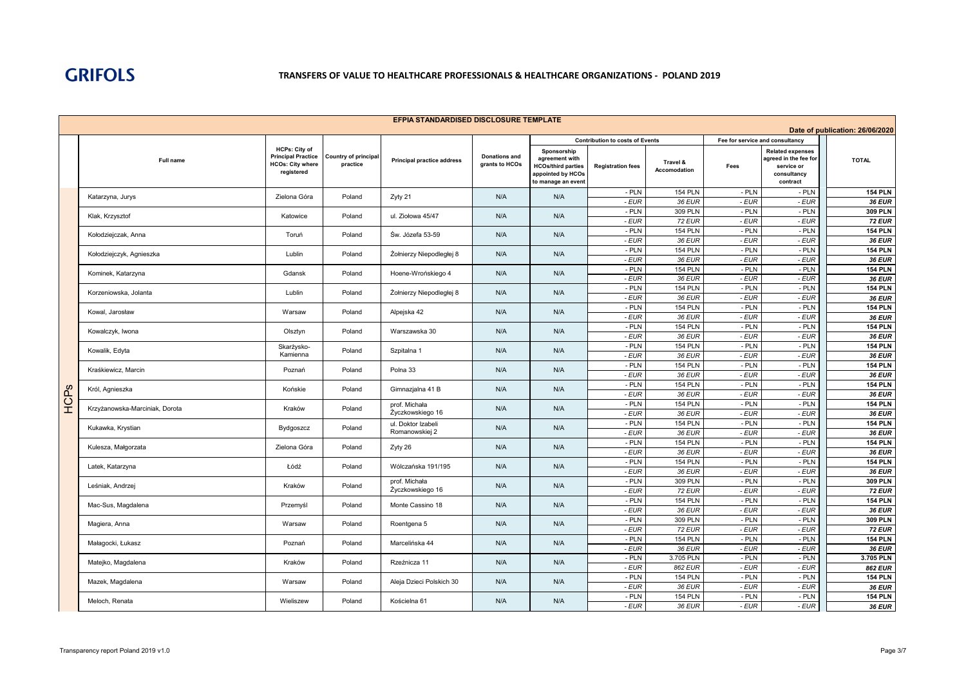|      | EFPIA STANDARDISED DISCLOSURE TEMPLATE |                                                                                            |                                  |                                      |                                        |                                                                                                       |                                                                    |                                 |                                         |                                                                                           |                                 |  |
|------|----------------------------------------|--------------------------------------------------------------------------------------------|----------------------------------|--------------------------------------|----------------------------------------|-------------------------------------------------------------------------------------------------------|--------------------------------------------------------------------|---------------------------------|-----------------------------------------|-------------------------------------------------------------------------------------------|---------------------------------|--|
|      |                                        |                                                                                            |                                  |                                      |                                        |                                                                                                       |                                                                    |                                 |                                         |                                                                                           | Date of publication: 26/06/2020 |  |
|      | Full name                              | <b>HCPs: City of</b><br><b>Principal Practice</b><br><b>HCOs: City where</b><br>registered | Country of principal<br>practice | <b>Principal practice address</b>    | <b>Donations and</b><br>grants to HCOs | Sponsorship<br>agreement with<br><b>HCOs/third parties</b><br>appointed by HCOs<br>to manage an event | <b>Contribution to costs of Events</b><br><b>Registration fees</b> | Travel &<br><b>Accomodation</b> | Fee for service and consultancy<br>Fees | <b>Related expenses</b><br>agreed in the fee for<br>service or<br>consultancy<br>contract | <b>TOTAL</b>                    |  |
|      | Katarzyna, Jurys                       | Zielona Góra                                                                               | Poland                           | Zyty 21                              | N/A                                    | N/A                                                                                                   | - PLN                                                              | <b>154 PLN</b>                  | - PLN                                   | - PLN                                                                                     | <b>154 PLN</b>                  |  |
|      |                                        |                                                                                            |                                  |                                      |                                        |                                                                                                       | - EUR                                                              | 36 EUR                          | - EUR                                   | - EUR                                                                                     | <b>36 EUR</b>                   |  |
|      | Klak, Krzysztof                        | Katowice                                                                                   | Poland                           | ul. Ziołowa 45/47                    | N/A                                    | N/A                                                                                                   | - PLN<br>- EUR                                                     | 309 PLN<br><b>72 EUR</b>        | - PLN<br>- EUR                          | - PLN<br>$-EUR$                                                                           | 309 PLN<br><b>72 EUR</b>        |  |
|      |                                        |                                                                                            |                                  |                                      |                                        |                                                                                                       | - PLN                                                              | <b>154 PLN</b>                  | - PLN                                   | - PLN                                                                                     | <b>154 PLN</b>                  |  |
|      | Kołodziejczak, Anna                    | Toruń                                                                                      | Poland                           | Św. Józefa 53-59                     | N/A                                    | N/A                                                                                                   | - EUR                                                              | 36 EUR                          | - EUR                                   | - EUR                                                                                     | 36 EUR                          |  |
|      | Kołodziejczyk, Agnieszka               | Lublin                                                                                     | Poland                           | Żołnierzy Niepodległej 8             | N/A                                    | N/A                                                                                                   | - PLN                                                              | <b>154 PLN</b>                  | - PLN                                   | - PLN                                                                                     | <b>154 PLN</b>                  |  |
|      |                                        |                                                                                            |                                  |                                      |                                        |                                                                                                       | - EUR<br>- PLN                                                     | 36 EUR<br><b>154 PLN</b>        | - EUR<br>- PLN                          | $-EUR$<br>- PLN                                                                           | <b>36 EUR</b><br><b>154 PLN</b> |  |
|      | Kominek, Katarzyna                     | Gdansk                                                                                     | Poland                           | Hoene-Wrońskiego 4                   | N/A                                    | N/A                                                                                                   | - EUR                                                              | 36 EUR                          | - EUR                                   | - EUR                                                                                     | 36 EUR                          |  |
|      |                                        | Lublin                                                                                     | Poland                           |                                      | N/A                                    | N/A                                                                                                   | - PLN                                                              | <b>154 PLN</b>                  | $-$ PLN                                 | - PLN                                                                                     | <b>154 PLN</b>                  |  |
|      | Korzeniowska, Jolanta                  |                                                                                            |                                  | Żołnierzy Niepodległej 8             |                                        |                                                                                                       | $-EUR$                                                             | 36 EUR                          | - EUR                                   | $-EUR$                                                                                    | 36 EUR                          |  |
|      | Kowal, Jarosław                        | Warsaw                                                                                     | Poland                           | Alpejska 42                          | N/A                                    | N/A                                                                                                   | - PLN                                                              | <b>154 PLN</b>                  | - PLN                                   | - PLN                                                                                     | <b>154 PLN</b>                  |  |
|      |                                        |                                                                                            |                                  |                                      |                                        |                                                                                                       | - EUR<br>- PLN                                                     | 36 EUR<br><b>154 PLN</b>        | - EUR<br>- PLN                          | - EUR<br>- PLN                                                                            | 36 EUR<br><b>154 PLN</b>        |  |
|      | Kowalczyk, Iwona                       | Olsztyn                                                                                    | Poland                           | Warszawska 30                        | N/A                                    | N/A                                                                                                   | - EUR                                                              | 36 EUR                          | - EUR                                   | - EUR                                                                                     | 36 EUR                          |  |
|      | Kowalik, Edyta                         | Skarżysko-                                                                                 | Poland                           | Szpitalna 1                          | N/A                                    | N/A                                                                                                   | - PLN                                                              | <b>154 PLN</b>                  | $-$ PLN                                 | - PLN                                                                                     | <b>154 PLN</b>                  |  |
|      |                                        | Kamienna                                                                                   |                                  |                                      |                                        |                                                                                                       | - EUR                                                              | 36 EUR                          | - EUR                                   | $-EUR$                                                                                    | 36 EUR                          |  |
|      | Kraśkiewicz, Marcin                    | Poznań                                                                                     | Poland                           | Polna 33                             | N/A                                    | N/A                                                                                                   | - PLN                                                              | <b>154 PLN</b>                  | - PLN                                   | $-$ PLN                                                                                   | <b>154 PLN</b>                  |  |
|      |                                        |                                                                                            |                                  |                                      |                                        |                                                                                                       | - EUR<br>- PLN                                                     | 36 EUR<br><b>154 PLN</b>        | - EUR<br>$-$ PLN                        | $-EUR$<br>- PLN                                                                           | <b>36 EUR</b><br><b>154 PLN</b> |  |
| HCPs | Król, Agnieszka                        | Końskie                                                                                    | Poland                           | Gimnazjalna 41 B                     | N/A                                    | N/A                                                                                                   | - EUR                                                              | 36 EUR                          | - EUR                                   | $-EUR$                                                                                    | <b>36 EUR</b>                   |  |
|      | Krzyżanowska-Marciniak, Dorota         | Kraków                                                                                     | Poland                           | prof. Michała                        | N/A                                    | N/A                                                                                                   | - PLN                                                              | <b>154 PLN</b>                  | - PLN                                   | - PLN                                                                                     | <b>154 PLN</b>                  |  |
|      |                                        |                                                                                            |                                  | Życzkowskiego 16                     |                                        |                                                                                                       | - EUR                                                              | 36 EUR                          | - EUR                                   | $-EUR$                                                                                    | <b>36 EUR</b>                   |  |
|      | Kukawka, Krystian                      | Bydgoszcz                                                                                  | Poland                           | ul. Doktor Izabeli<br>Romanowskiej 2 | N/A                                    | N/A                                                                                                   | - PLN<br>- EUR                                                     | <b>154 PLN</b><br>36 EUR        | - PLN<br>- EUR                          | - PLN                                                                                     | <b>154 PLN</b>                  |  |
|      |                                        |                                                                                            |                                  |                                      |                                        |                                                                                                       | - PLN                                                              | <b>154 PLN</b>                  | - PLN                                   | - EUR<br>- PLN                                                                            | 36 EUR<br><b>154 PLN</b>        |  |
|      | Kulesza, Małgorzata                    | Zielona Góra                                                                               | Poland                           | Zyty 26                              | N/A                                    | N/A                                                                                                   | - EUR                                                              | 36 EUR                          | - EUR                                   | - EUR                                                                                     | 36 EUR                          |  |
|      | Latek, Katarzyna                       | Łódź                                                                                       | Poland                           | Wólczańska 191/195                   | N/A                                    | N/A                                                                                                   | - PLN                                                              | <b>154 PLN</b>                  | - PLN                                   | - PLN                                                                                     | <b>154 PLN</b>                  |  |
|      |                                        |                                                                                            |                                  |                                      |                                        |                                                                                                       | $-EUR$                                                             | 36 EUR                          | - EUR                                   | - EUR                                                                                     | 36 EUR                          |  |
|      | Leśniak, Andrzej                       | Kraków                                                                                     | Poland                           | prof. Michała<br>Życzkowskiego 16    | N/A                                    | N/A                                                                                                   | - PLN<br>- EUR                                                     | 309 PLN<br><b>72 EUR</b>        | - PLN<br>- EUR                          | - PLN<br>- EUR                                                                            | 309 PLN<br><b>72 EUR</b>        |  |
|      |                                        |                                                                                            |                                  |                                      |                                        |                                                                                                       | - PLN                                                              | <b>154 PLN</b>                  | $-$ PLN                                 | - PLN                                                                                     | <b>154 PLN</b>                  |  |
|      | Mac-Sus, Magdalena                     | Przemyśl                                                                                   | Poland                           | Monte Cassino 18                     | N/A                                    | N/A                                                                                                   | - EUR                                                              | 36 EUR                          | - EUR                                   | $-EUR$                                                                                    | 36 EUR                          |  |
|      | Magiera, Anna                          | Warsaw                                                                                     | Poland                           | Roentgena 5                          | N/A                                    | N/A                                                                                                   | - PLN                                                              | 309 PLN                         | $-$ PLN                                 | - PLN                                                                                     | 309 PLN                         |  |
|      |                                        |                                                                                            |                                  |                                      |                                        |                                                                                                       | - EUR                                                              | <b>72 EUR</b>                   | - EUR                                   | - EUR                                                                                     | <b>72 EUR</b>                   |  |
|      | Małagocki, Łukasz                      | Poznań                                                                                     | Poland                           | Marcelińska 44                       | N/A                                    | N/A                                                                                                   | $-$ PLN<br>- EUR                                                   | <b>154 PLN</b><br>36 EUR        | - PLN<br>- EUR                          | $-$ PLN<br>- EUR                                                                          | <b>154 PLN</b><br>36 EUR        |  |
|      |                                        |                                                                                            |                                  |                                      |                                        |                                                                                                       | - PLN                                                              | 3.705 PLN                       | $-$ PLN                                 | - PLN                                                                                     | 3.705 PLN                       |  |
|      | Matejko, Magdalena                     | Kraków                                                                                     | Poland                           | Rzeźnicza 11                         | N/A                                    | N/A                                                                                                   | - EUR                                                              | 862 EUR                         | - EUR                                   | - EUR                                                                                     | 862 EUR                         |  |
|      | Mazek, Magdalena                       | Warsaw                                                                                     | Poland                           | Aleja Dzieci Polskich 30             | N/A                                    | N/A                                                                                                   | - PLN                                                              | <b>154 PLN</b>                  | - PLN                                   | $-$ PLN                                                                                   | <b>154 PLN</b>                  |  |
|      |                                        |                                                                                            |                                  |                                      |                                        |                                                                                                       | - EUR<br>- PLN                                                     | 36 EUR<br><b>154 PLN</b>        | $-EUR$<br>- PLN                         | - EUR                                                                                     | <b>36 EUR</b><br><b>154 PLN</b> |  |
|      | Meloch, Renata                         | Wieliszew                                                                                  | Poland                           | Kościelna 61                         | N/A                                    | N/A                                                                                                   | - EUR                                                              | 36 EUR                          | - EUR                                   | - PLN<br>- EUR                                                                            | 36 EUR                          |  |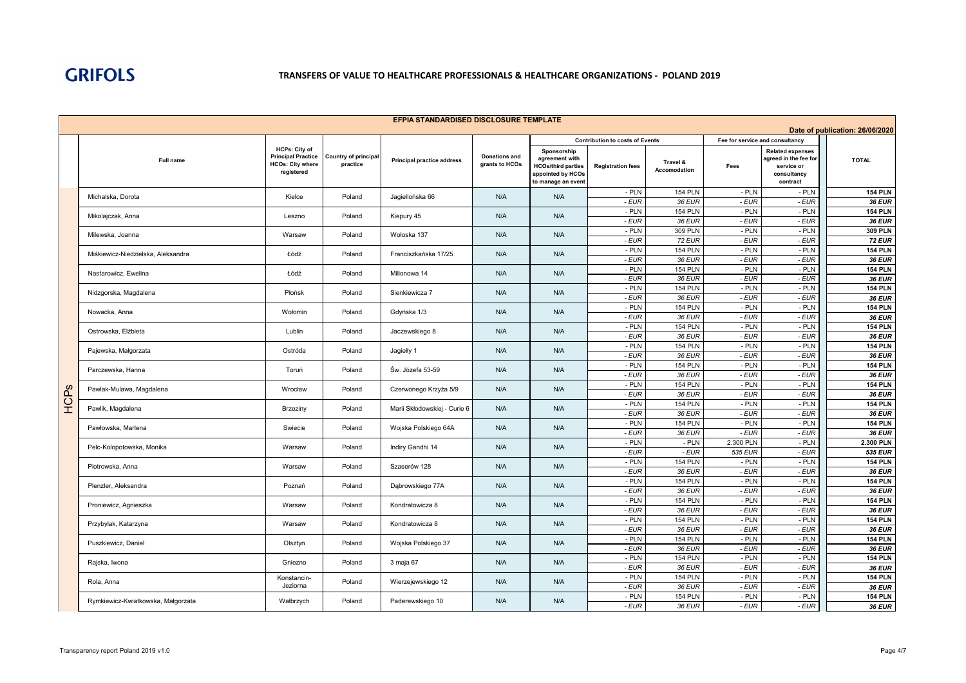|      | <b>EFPIA STANDARDISED DISCLOSURE TEMPLATE</b><br>Date of publication: 26/06/2020 |                                                                                            |                                  |                                   |                                        |                                                                                                       |                                        |                          |                                 |                                                                                           |                                 |  |
|------|----------------------------------------------------------------------------------|--------------------------------------------------------------------------------------------|----------------------------------|-----------------------------------|----------------------------------------|-------------------------------------------------------------------------------------------------------|----------------------------------------|--------------------------|---------------------------------|-------------------------------------------------------------------------------------------|---------------------------------|--|
|      |                                                                                  |                                                                                            |                                  |                                   |                                        |                                                                                                       | <b>Contribution to costs of Events</b> |                          | Fee for service and consultancy |                                                                                           |                                 |  |
|      | Full name                                                                        | <b>HCPs: City of</b><br><b>Principal Practice</b><br><b>HCOs: City where</b><br>registered | Country of principal<br>practice | <b>Principal practice address</b> | <b>Donations and</b><br>grants to HCOs | Sponsorship<br>agreement with<br><b>HCOs/third parties</b><br>appointed by HCOs<br>to manage an event | <b>Registration fees</b>               | Travel &<br>Accomodation | Fees                            | <b>Related expenses</b><br>agreed in the fee for<br>service or<br>consultancy<br>contract | <b>TOTAL</b>                    |  |
|      | Michalska, Dorota                                                                | Kielce                                                                                     | Poland                           | Jagiellońska 66                   | N/A                                    | N/A                                                                                                   | - PLN                                  | <b>154 PLN</b>           | $-$ PLN                         | - PLN                                                                                     | <b>154 PLN</b>                  |  |
|      |                                                                                  |                                                                                            |                                  |                                   |                                        |                                                                                                       | - EUR                                  | 36 EUR                   | - EUR                           | - EUR                                                                                     | 36 EUR                          |  |
|      | Mikolajczak, Anna                                                                | Leszno                                                                                     | Poland                           | Kiepury 45                        | N/A                                    | N/A                                                                                                   | - PLN                                  | <b>154 PLN</b>           | $-$ PLN                         | $-$ PLN                                                                                   | <b>154 PLN</b>                  |  |
|      |                                                                                  |                                                                                            |                                  |                                   |                                        |                                                                                                       | - EUR                                  | 36 EUR                   | - EUR                           | - EUR                                                                                     | <b>36 EUR</b>                   |  |
|      | Milewska, Joanna                                                                 | Warsaw                                                                                     | Poland                           | Wołoska 137                       | N/A                                    | N/A                                                                                                   | - PLN<br>$-EUR$                        | 309 PLN<br><b>72 EUR</b> | $-$ PLN<br>- EUR                | $-$ PLN<br>$-EUR$                                                                         | 309 PLN<br><b>72 EUR</b>        |  |
|      |                                                                                  |                                                                                            |                                  |                                   |                                        |                                                                                                       | - PLN                                  | <b>154 PLN</b>           | $-$ PLN                         | - PLN                                                                                     | <b>154 PLN</b>                  |  |
|      | Miśkiewicz-Niedzielska, Aleksandra                                               | Łódź                                                                                       | Poland                           | Franciszkańska 17/25              | N/A                                    | N/A                                                                                                   | - EUR                                  | 36 EUR                   | - EUR                           | - EUR                                                                                     | 36 EUR                          |  |
|      |                                                                                  |                                                                                            |                                  |                                   |                                        |                                                                                                       | - PLN                                  | <b>154 PLN</b>           | $-$ PLN                         | $-$ PLN                                                                                   | <b>154 PLN</b>                  |  |
|      | Nastarowicz, Ewelina                                                             | Łódź                                                                                       | Poland                           | Milionowa 14                      | N/A                                    | N/A                                                                                                   | $-EUR$                                 | 36 EUR                   | - EUR                           | $-EUR$                                                                                    | 36 EUR                          |  |
|      | Nidzgorska, Magdalena                                                            | Płońsk                                                                                     | Poland                           | Sienkiewicza 7                    | N/A                                    | N/A                                                                                                   | - PLN                                  | <b>154 PLN</b>           | $-$ PLN                         | $-$ PLN                                                                                   | <b>154 PLN</b>                  |  |
|      |                                                                                  |                                                                                            |                                  |                                   |                                        |                                                                                                       | - EUR                                  | 36 EUR                   | - EUR                           | - EUR                                                                                     | 36 EUR                          |  |
|      | Nowacka, Anna                                                                    | Wołomin                                                                                    | Poland                           | Gdyńska 1/3                       | N/A                                    | N/A                                                                                                   | - PLN                                  | <b>154 PLN</b>           | - PLN                           | - PLN                                                                                     | <b>154 PLN</b>                  |  |
|      |                                                                                  |                                                                                            |                                  |                                   |                                        |                                                                                                       | - EUR                                  | 36 EUR                   | - EUR                           | - EUR                                                                                     | <b>36 EUR</b>                   |  |
|      | Ostrowska, Elżbieta                                                              | Lublin                                                                                     | Poland                           | Jaczewskiego 8                    | N/A                                    | N/A                                                                                                   | - PLN                                  | <b>154 PLN</b>           | - PLN                           | $-$ PLN                                                                                   | <b>154 PLN</b>                  |  |
|      |                                                                                  |                                                                                            |                                  |                                   |                                        |                                                                                                       | - EUR<br>- PLN                         | 36 EUR<br><b>154 PLN</b> | $-EUR$<br>$-$ PLN               | - EUR<br>- PLN                                                                            | <b>36 EUR</b><br><b>154 PLN</b> |  |
|      | Pajewska, Małgorzata                                                             | Ostróda                                                                                    | Poland                           | Jagiełły 1                        | N/A                                    | N/A                                                                                                   | - EUR                                  | 36 EUR                   | - EUR                           | - EUR                                                                                     | <b>36 EUR</b>                   |  |
|      |                                                                                  |                                                                                            |                                  |                                   |                                        |                                                                                                       | - PLN                                  | <b>154 PLN</b>           | $-$ PLN                         | $-$ PLN                                                                                   | <b>154 PLN</b>                  |  |
|      | Parczewska, Hanna                                                                | Toruń                                                                                      | Poland                           | Św. Józefa 53-59                  | N/A                                    | N/A                                                                                                   | - EUR                                  | 36 EUR                   | - EUR                           | - EUR                                                                                     | <b>36 EUR</b>                   |  |
|      |                                                                                  |                                                                                            |                                  |                                   | N/A                                    |                                                                                                       | - PLN                                  | <b>154 PLN</b>           | $-$ PLN                         | - PLN                                                                                     | <b>154 PLN</b>                  |  |
|      | Pawlak-Mulawa, Magdalena                                                         | Wrocław                                                                                    | Poland                           | Czerwonego Krzyża 5/9             |                                        | N/A                                                                                                   | - EUR                                  | 36 EUR                   | - EUR                           | - EUR                                                                                     | 36 EUR                          |  |
| HCPs | Pawlik, Magdalena                                                                | Brzeziny                                                                                   | Poland                           | Marii Skłodowskiej - Curie 6      | N/A                                    | N/A                                                                                                   | - PLN                                  | <b>154 PLN</b>           | $-$ PLN                         | - PLN                                                                                     | <b>154 PLN</b>                  |  |
|      |                                                                                  |                                                                                            |                                  |                                   |                                        |                                                                                                       | - EUR                                  | 36 EUR                   | - EUR                           | $-EUR$                                                                                    | 36 EUR                          |  |
|      | Pawłowska, Marlena                                                               | Swiecie                                                                                    | Poland                           | Wojska Polskiego 64A              | N/A                                    | N/A                                                                                                   | - PLN                                  | <b>154 PLN</b>           | $-$ PLN                         | - PLN                                                                                     | <b>154 PLN</b>                  |  |
|      |                                                                                  |                                                                                            |                                  |                                   |                                        |                                                                                                       | - EUR                                  | 36 EUR                   | - EUR                           | - EUR                                                                                     | 36 EUR                          |  |
|      | Pelc-Kolopotowska, Monika                                                        | Warsaw                                                                                     | Poland                           | Indiry Gandhi 14                  | N/A                                    | N/A                                                                                                   | - PLN<br>- EUR                         | - PLN<br>$-EUR$          | 2.300 PLN<br>535 EUR            | - PLN<br>- EUR                                                                            | 2.300 PLN<br>535 EUR            |  |
|      |                                                                                  |                                                                                            |                                  |                                   |                                        |                                                                                                       | - PLN                                  | <b>154 PLN</b>           | - PLN                           | - PLN                                                                                     | <b>154 PLN</b>                  |  |
|      | Piotrowska, Anna                                                                 | Warsaw                                                                                     | Poland                           | Szaserów 128                      | N/A                                    | N/A                                                                                                   | - EUR                                  | 36 EUR                   | - EUR                           | $-EUR$                                                                                    | 36 EUR                          |  |
|      |                                                                                  |                                                                                            |                                  |                                   |                                        |                                                                                                       | - PLN                                  | <b>154 PLN</b>           | $-$ PLN                         | $-$ PLN                                                                                   | <b>154 PLN</b>                  |  |
|      | Plenzler, Aleksandra                                                             | Poznań                                                                                     | Poland                           | Dabrowskiego 77A                  | N/A                                    | N/A                                                                                                   | - EUR                                  | 36 EUR                   | $-EUR$                          | - EUR                                                                                     | <b>36 EUR</b>                   |  |
|      | Proniewicz, Agnieszka                                                            | Warsaw                                                                                     | Poland                           | Kondratowicza 8                   | N/A                                    | N/A                                                                                                   | - PLN                                  | <b>154 PLN</b>           | $-$ PLN                         | $-$ PLN                                                                                   | <b>154 PLN</b>                  |  |
|      |                                                                                  |                                                                                            |                                  |                                   |                                        |                                                                                                       | - EUR                                  | 36 EUR                   | - EUR                           | - EUR                                                                                     | <b>36 EUR</b>                   |  |
|      | Przybylak, Katarzyna                                                             | Warsaw                                                                                     | Poland                           | Kondratowicza 8                   | N/A                                    | N/A                                                                                                   | - PLN                                  | <b>154 PLN</b>           | $-$ PLN                         | $-$ PLN                                                                                   | <b>154 PLN</b>                  |  |
|      |                                                                                  |                                                                                            |                                  |                                   |                                        |                                                                                                       | - EUR                                  | 36 EUR                   | - EUR                           | $-EUR$                                                                                    | 36 EUR                          |  |
|      | Puszkiewicz, Daniel                                                              | Olsztyn                                                                                    | Poland                           | Wojska Polskiego 37               | N/A                                    | N/A                                                                                                   | - PLN                                  | <b>154 PLN</b>           | $-$ PLN                         | $-$ PLN                                                                                   | <b>154 PLN</b>                  |  |
|      |                                                                                  |                                                                                            |                                  |                                   |                                        |                                                                                                       | - EUR<br>- PLN                         | 36 EUR<br><b>154 PLN</b> | $-EUR$<br>$-$ PLN               | $-EUR$<br>$-$ PLN                                                                         | <b>36 EUR</b><br><b>154 PLN</b> |  |
|      | Rajska, Iwona                                                                    | Gniezno                                                                                    | Poland                           | 3 maja 67                         | N/A                                    | N/A                                                                                                   | - EUR                                  | 36 EUR                   | - EUR                           | - EUR                                                                                     | 36 EUR                          |  |
|      |                                                                                  | Konstancin-                                                                                |                                  |                                   |                                        |                                                                                                       | - PLN                                  | <b>154 PLN</b>           | - PLN                           | - PLN                                                                                     | <b>154 PLN</b>                  |  |
|      | Rola, Anna                                                                       | Jeziorna                                                                                   | Poland                           | Wierzejewskiego 12                | N/A                                    | N/A                                                                                                   | - EUR                                  | 36 EUR                   | - EUR                           | - EUR                                                                                     | 36 EUR                          |  |
|      |                                                                                  |                                                                                            |                                  |                                   |                                        |                                                                                                       | - PLN                                  | <b>154 PLN</b>           | - PLN                           | $-$ PLN                                                                                   | <b>154 PLN</b>                  |  |
|      | Rymkiewicz-Kwiatkowska, Małgorzata                                               | Wałbrzych                                                                                  | Poland                           | Paderewskiego 10                  | N/A                                    | N/A                                                                                                   | - EUR                                  | 36 EUR                   | - EUR                           | $-EUR$                                                                                    | <b>36 EUR</b>                   |  |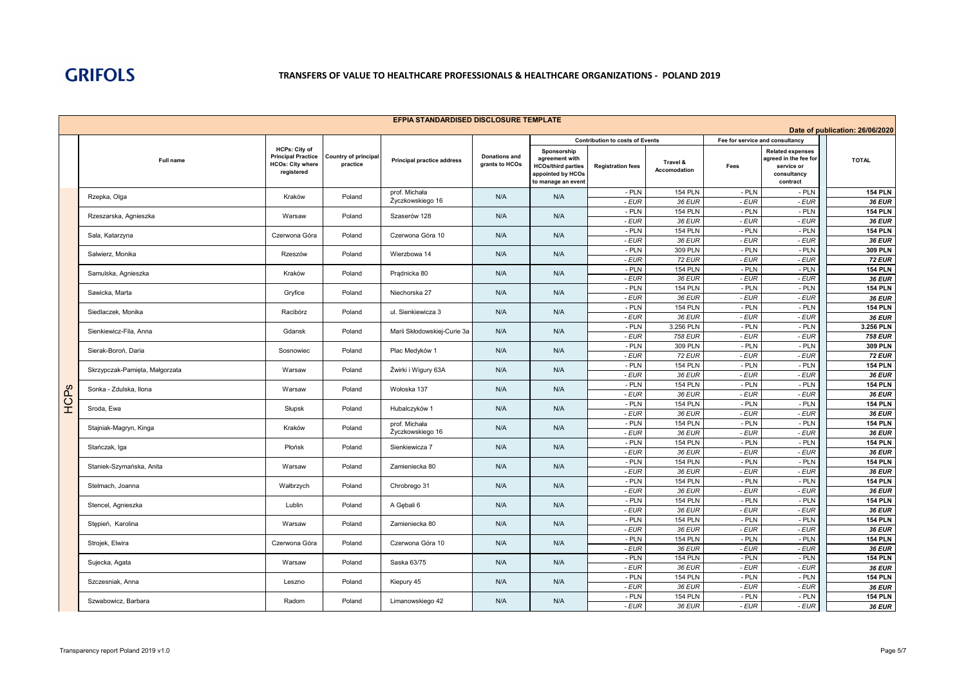|          | EFPIA STANDARDISED DISCLOSURE TEMPLATE<br>Date of publication: 26/06/2020 |                                                                                     |                                  |                                   |                                        |                                                                                                       |                                        |                          |                                 |                                                                                           |                                 |  |
|----------|---------------------------------------------------------------------------|-------------------------------------------------------------------------------------|----------------------------------|-----------------------------------|----------------------------------------|-------------------------------------------------------------------------------------------------------|----------------------------------------|--------------------------|---------------------------------|-------------------------------------------------------------------------------------------|---------------------------------|--|
|          |                                                                           |                                                                                     |                                  |                                   |                                        |                                                                                                       | <b>Contribution to costs of Events</b> |                          | Fee for service and consultancy |                                                                                           |                                 |  |
|          | Full name                                                                 | HCPs: City of<br><b>Principal Practice</b><br><b>HCOs: City where</b><br>registered | Country of principal<br>practice | <b>Principal practice address</b> | <b>Donations and</b><br>grants to HCOs | Sponsorship<br>agreement with<br><b>HCOs/third parties</b><br>appointed by HCOs<br>to manage an event | <b>Registration fees</b>               | Travel &<br>Accomodation | Fees                            | <b>Related expenses</b><br>agreed in the fee for<br>service or<br>consultancy<br>contract | <b>TOTAL</b>                    |  |
|          | Rzepka, Olga                                                              | Kraków                                                                              | Poland                           | prof. Michała                     | N/A                                    | N/A                                                                                                   | - PLN                                  | <b>154 PLN</b>           | - PLN                           | - PLN                                                                                     | <b>154 PLN</b>                  |  |
|          |                                                                           |                                                                                     |                                  | Życzkowskiego 16                  |                                        |                                                                                                       | - EUR                                  | 36 EUR                   | - EUR                           | - EUR                                                                                     | 36 EUR                          |  |
|          | Rzeszarska, Agnieszka                                                     | Warsaw                                                                              | Poland                           | Szaserów 128                      | N/A                                    | N/A                                                                                                   | - PLN                                  | <b>154 PLN</b>           | $-$ PLN                         | $-$ PLN                                                                                   | <b>154 PLN</b><br><b>36 EUR</b> |  |
|          |                                                                           |                                                                                     |                                  |                                   |                                        |                                                                                                       | - EUR<br>- PLN                         | 36 EUR<br><b>154 PLN</b> | - EUR<br>$-$ PLN                | - EUR<br>$-$ PLN                                                                          | <b>154 PLN</b>                  |  |
|          | Sala, Katarzyna                                                           | Czerwona Góra                                                                       | Poland                           | Czerwona Góra 10                  | N/A                                    | N/A                                                                                                   | - EUR                                  | 36 EUR                   | - EUR                           | - EUR                                                                                     | 36 EUR                          |  |
|          |                                                                           |                                                                                     |                                  |                                   |                                        |                                                                                                       | - PLN                                  | 309 PLN                  | $-$ PLN                         | $-$ PLN                                                                                   | 309 PLN                         |  |
|          | Salwierz, Monika                                                          | Rzeszów                                                                             | Poland                           | Wierzbowa 14                      | N/A                                    | N/A                                                                                                   | $-EUR$                                 | <b>72 EUR</b>            | - EUR                           | - EUR                                                                                     | <b>72 EUR</b>                   |  |
|          | Samulska, Agnieszka                                                       | Kraków                                                                              | Poland                           | Pradnicka 80                      | N/A                                    | N/A                                                                                                   | - PLN                                  | <b>154 PLN</b>           | $-$ PLN                         | - PLN                                                                                     | <b>154 PLN</b>                  |  |
|          |                                                                           |                                                                                     |                                  |                                   |                                        |                                                                                                       | $-EUR$                                 | 36 EUR                   | $-EUR$                          | $-EUR$                                                                                    | 36 EUR                          |  |
|          | Sawicka, Marta                                                            | Gryfice                                                                             | Poland                           | Niechorska 27                     | N/A                                    | N/A                                                                                                   | - PLN                                  | <b>154 PLN</b>           | $-$ PLN                         | $-$ PLN                                                                                   | <b>154 PLN</b>                  |  |
|          |                                                                           |                                                                                     |                                  |                                   |                                        |                                                                                                       | - EUR<br>- PLN                         | 36 EUR<br><b>154 PLN</b> | - EUR<br>- PLN                  | - EUR<br>$-$ PLN                                                                          | 36 EUR<br><b>154 PLN</b>        |  |
|          | Siedlaczek, Monika                                                        | Racibórz                                                                            | Poland                           | ul. Sienkiewicza 3                | N/A                                    | N/A                                                                                                   | - EUR                                  | 36 EUR                   | - EUR                           | - EUR                                                                                     | 36 EUR                          |  |
|          |                                                                           |                                                                                     |                                  |                                   |                                        |                                                                                                       | - PLN                                  | 3.256 PLN                | $-$ PLN                         | - PLN                                                                                     | 3.256 PLN                       |  |
|          | Sienkiewicz-Fila, Anna                                                    | Gdansk                                                                              | Poland                           | Marii Skłodowskiej-Curie 3a       | N/A                                    | N/A                                                                                                   | - EUR                                  | 758 EUR                  | - EUR                           | - EUR                                                                                     | <b>758 EUR</b>                  |  |
|          | Sierak-Boroń, Daria                                                       | Sosnowiec                                                                           | Poland                           | Plac Medyków 1                    | N/A                                    | N/A                                                                                                   | - PLN                                  | 309 PLN                  | $-$ PLN                         | $-$ PLN                                                                                   | 309 PLN                         |  |
|          |                                                                           |                                                                                     |                                  |                                   |                                        |                                                                                                       | - EUR                                  | <b>72 EUR</b>            | $-EUR$                          | - EUR                                                                                     | <b>72 EUR</b>                   |  |
|          | Skrzypczak-Pamięta, Małgorzata                                            | Warsaw                                                                              | Poland                           | Żwirki i Wigury 63A               | N/A                                    | N/A                                                                                                   | - PLN                                  | <b>154 PLN</b>           | $-$ PLN                         | - PLN                                                                                     | <b>154 PLN</b>                  |  |
|          |                                                                           |                                                                                     |                                  |                                   |                                        |                                                                                                       | - EUR<br>- PLN                         | 36 EUR<br><b>154 PLN</b> | - EUR                           | $-EUR$                                                                                    | <b>36 EUR</b><br><b>154 PLN</b> |  |
|          | Sonka - Zdulska, Ilona                                                    | Warsaw                                                                              | Poland                           | Wołoska 137                       | N/A                                    | N/A                                                                                                   | $-EUR$                                 | 36 EUR                   | $-$ PLN<br>- EUR                | $-$ PLN<br>$-EUR$                                                                         | <b>36 EUR</b>                   |  |
| AC<br>HC |                                                                           |                                                                                     |                                  |                                   | N/A<br>N/A                             |                                                                                                       | - PLN                                  | <b>154 PLN</b>           | $-$ PLN                         | - PLN                                                                                     | <b>154 PLN</b>                  |  |
|          | Sroda, Ewa                                                                | Słupsk                                                                              | Poland                           | Hubalczyków 1                     |                                        |                                                                                                       | $-EUR$                                 | 36 EUR                   | - EUR                           | $-EUR$                                                                                    | 36 EUR                          |  |
|          | Stajniak-Magryn, Kinga                                                    | Kraków                                                                              | Poland                           | prof. Michała                     | N/A                                    | N/A                                                                                                   | - PLN                                  | <b>154 PLN</b>           | - PLN                           | - PLN                                                                                     | <b>154 PLN</b>                  |  |
|          |                                                                           |                                                                                     |                                  | Życzkowskiego 16                  |                                        |                                                                                                       | - EUR                                  | 36 EUR                   | - EUR                           | $-EUR$                                                                                    | 36 EUR                          |  |
|          | Stańczak, Iga                                                             | Płońsk                                                                              | Poland                           | Sienkiewicza 7                    | N/A                                    | N/A                                                                                                   | - PLN                                  | <b>154 PLN</b>           | - PLN                           | - PLN                                                                                     | <b>154 PLN</b>                  |  |
|          |                                                                           |                                                                                     |                                  |                                   |                                        |                                                                                                       | - EUR                                  | 36 EUR                   | - EUR                           | $-EUR$                                                                                    | 36 EUR                          |  |
|          | Staniek-Szymańska, Anita                                                  | Warsaw                                                                              | Poland                           | Zamieniecka 80                    | N/A                                    | N/A                                                                                                   | - PLN<br>- EUR                         | <b>154 PLN</b><br>36 EUR | - PLN<br>$-EUR$                 | - PLN<br>$-EUR$                                                                           | <b>154 PLN</b><br>36 EUR        |  |
|          |                                                                           |                                                                                     |                                  |                                   |                                        |                                                                                                       | - PLN                                  | <b>154 PLN</b>           | $-$ PLN                         | $-$ PLN                                                                                   | <b>154 PLN</b>                  |  |
|          | Stelmach, Joanna                                                          | Wałbrzych                                                                           | Poland                           | Chrobrego 31                      | N/A                                    | N/A                                                                                                   | - EUR                                  | 36 EUR                   | $-EUR$                          | $-EUR$                                                                                    | 36 EUR                          |  |
|          | Stencel, Agnieszka                                                        | Lublin                                                                              | Poland                           | A Gebali 6                        | N/A                                    | N/A                                                                                                   | - PLN                                  | <b>154 PLN</b>           | $-$ PLN                         | - PLN                                                                                     | <b>154 PLN</b>                  |  |
|          |                                                                           |                                                                                     |                                  |                                   |                                        |                                                                                                       | - EUR                                  | 36 EUR                   | - EUR                           | $-EUR$                                                                                    | 36 EUR                          |  |
|          | Stępień, Karolina                                                         | Warsaw                                                                              | Poland                           | Zamieniecka 80                    | N/A                                    | N/A                                                                                                   | - PLN                                  | <b>154 PLN</b>           | $-$ PLN                         | $-$ PLN                                                                                   | <b>154 PLN</b>                  |  |
|          |                                                                           |                                                                                     |                                  |                                   |                                        |                                                                                                       | $-EUR$                                 | 36 EUR                   | - EUR                           | $-EUR$                                                                                    | 36 EUR                          |  |
|          | Strojek, Elwira                                                           | Czerwona Góra                                                                       | Poland                           | Czerwona Góra 10                  | N/A                                    | N/A                                                                                                   | - PLN<br>- EUR                         | <b>154 PLN</b><br>36 EUR | $-$ PLN<br>- EUR                | $-$ PLN<br>- EUR                                                                          | <b>154 PLN</b><br>36 EUR        |  |
|          |                                                                           |                                                                                     |                                  |                                   |                                        |                                                                                                       | - PLN                                  | <b>154 PLN</b>           | - PLN                           | $-$ PLN                                                                                   | <b>154 PLN</b>                  |  |
|          | Sujecka, Agata                                                            | Warsaw                                                                              | Poland                           | Saska 63/75                       | N/A                                    | N/A                                                                                                   | - EUR                                  | 36 EUR                   | - EUR                           | $-EUR$                                                                                    | 36 EUR                          |  |
|          | Szczesniak, Anna                                                          | Leszno                                                                              | Poland                           | Kiepury 45                        | N/A                                    | N/A                                                                                                   | - PLN                                  | <b>154 PLN</b>           | - PLN                           | $-$ PLN                                                                                   | <b>154 PLN</b>                  |  |
|          |                                                                           |                                                                                     |                                  |                                   |                                        |                                                                                                       | - EUR                                  | 36 EUR                   | - EUR                           | - EUR                                                                                     | <b>36 EUR</b>                   |  |
|          | Szwabowicz, Barbara                                                       | Radom                                                                               | Poland                           | Limanowskiego 42                  | N/A                                    | N/A                                                                                                   | - PLN                                  | <b>154 PLN</b>           | - PLN                           | - PLN                                                                                     | <b>154 PLN</b>                  |  |
|          |                                                                           |                                                                                     |                                  |                                   |                                        |                                                                                                       | - EUR                                  | 36 EUR                   | $-EUR$                          | $-EUR$                                                                                    | <b>36 EUR</b>                   |  |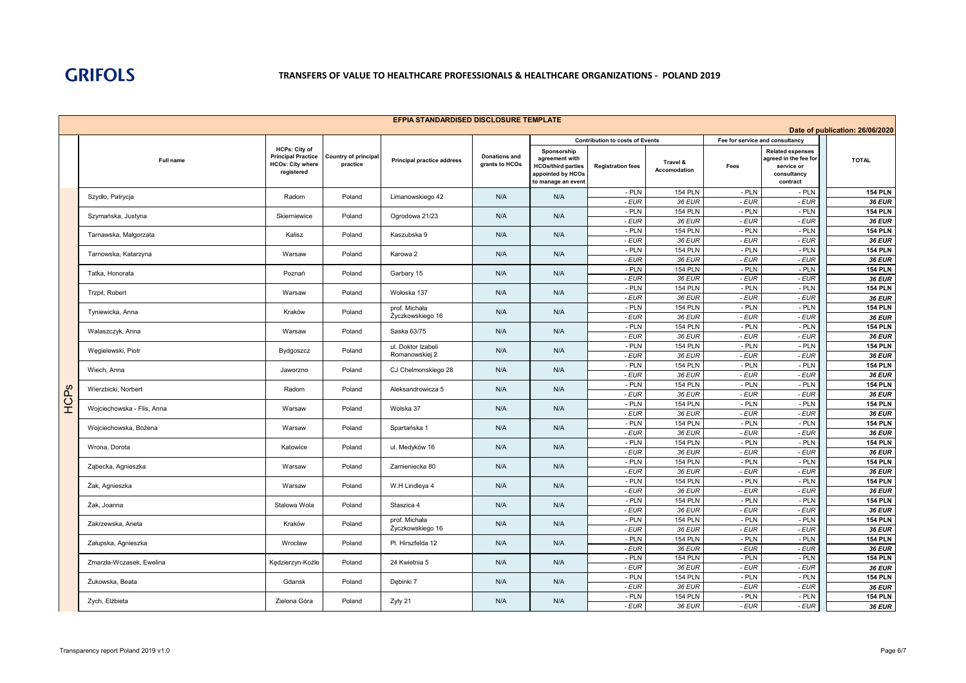## **TRANSFERS OF VALUE TO HEALTHCARE PROFESSIONALS & HEALTHCARE ORGANIZATIONS - POLAND 2019**

|                                 | EFPIA STANDARDISED DISCLOSURE TEMPLATE |                                                                                            |                                         |                                   |                                        |                                                                                                       |                                                                    |                                 |                                         |                                                                                           |                                 |  |
|---------------------------------|----------------------------------------|--------------------------------------------------------------------------------------------|-----------------------------------------|-----------------------------------|----------------------------------------|-------------------------------------------------------------------------------------------------------|--------------------------------------------------------------------|---------------------------------|-----------------------------------------|-------------------------------------------------------------------------------------------|---------------------------------|--|
| Date of publication: 26/06/2020 |                                        |                                                                                            |                                         |                                   |                                        |                                                                                                       |                                                                    |                                 |                                         |                                                                                           |                                 |  |
|                                 | <b>Full name</b>                       | <b>HCPs: City of</b><br><b>Principal Practice</b><br><b>HCOs: City where</b><br>registered | <b>Country of principal</b><br>practice | <b>Principal practice address</b> | <b>Donations and</b><br>grants to HCOs | Sponsorship<br>agreement with<br><b>HCOs/third parties</b><br>appointed by HCOs<br>to manage an event | <b>Contribution to costs of Events</b><br><b>Registration fees</b> | Travel &<br><b>Accomodation</b> | Fee for service and consultancy<br>Fees | <b>Related expenses</b><br>agreed in the fee for<br>service or<br>consultancy<br>contract | <b>TOTAL</b>                    |  |
|                                 | Szydło, Patrycja                       | Radom                                                                                      | Poland                                  | Limanowskiego 42                  | N/A                                    | N/A                                                                                                   | - PLN                                                              | <b>154 PLN</b>                  | - PLN                                   | - PLN                                                                                     | <b>154 PLN</b>                  |  |
|                                 |                                        |                                                                                            |                                         |                                   |                                        |                                                                                                       | - EUR                                                              | 36 EUR                          | - EUR                                   | $-EUR$                                                                                    | <b>36 EUR</b>                   |  |
|                                 | Szymańska, Justyna                     | Skierniewice                                                                               | Poland                                  | Ogrodowa 21/23                    | N/A                                    | N/A                                                                                                   | - PLN<br>- EUR                                                     | <b>154 PLN</b><br>36 EUR        | - PLN<br>- EUR                          | - PLN<br>$-EUR$                                                                           | <b>154 PLN</b><br>36 EUR        |  |
|                                 |                                        |                                                                                            |                                         |                                   |                                        |                                                                                                       | $-$ PLN                                                            | <b>154 PLN</b>                  | $-$ PLN                                 | $-$ PLN                                                                                   | <b>154 PLN</b>                  |  |
|                                 | Tarnawska, Małgorzata                  | Kalisz                                                                                     | Poland                                  | Kaszubska 9                       | N/A                                    | N/A                                                                                                   | - EUR                                                              | 36 EUR                          | $-EUR$                                  | $-EUR$                                                                                    | <b>36 EUR</b>                   |  |
|                                 | Tarnowska, Katarzyna                   | Warsaw                                                                                     | Poland                                  | Karowa 2                          | N/A                                    | N/A                                                                                                   | - PLN                                                              | <b>154 PLN</b>                  | $-$ PLN                                 | $-$ PLN                                                                                   | <b>154 PLN</b>                  |  |
|                                 |                                        |                                                                                            |                                         |                                   |                                        |                                                                                                       | - EUR                                                              | 36 EUR                          | - EUR                                   | - EUR                                                                                     | <b>36 EUR</b>                   |  |
|                                 | Tatka, Honorata                        | Poznań                                                                                     | Poland                                  | Garbary 15                        | N/A                                    | N/A                                                                                                   | - PLN<br>- EUR                                                     | <b>154 PLN</b><br>36 EUR        | $-$ PLN<br>- EUR                        | $-$ PLN<br>$-EUR$                                                                         | <b>154 PLN</b>                  |  |
|                                 |                                        |                                                                                            |                                         |                                   |                                        |                                                                                                       | - PLN                                                              | <b>154 PLN</b>                  | $-$ PLN                                 | - PLN                                                                                     | <b>36 EUR</b><br><b>154 PLN</b> |  |
|                                 | Trzpil, Robert                         | Warsaw                                                                                     | Poland                                  | Wołoska 137                       | N/A                                    | N/A                                                                                                   | - EUR                                                              | 36 EUR                          | - EUR                                   | - EUR                                                                                     | 36 EUR                          |  |
|                                 |                                        | Kraków                                                                                     | Poland                                  | prof. Michała                     | N/A                                    | N/A                                                                                                   | - PLN                                                              | <b>154 PLN</b>                  | - PLN                                   | - PLN                                                                                     | <b>154 PLN</b>                  |  |
|                                 | Tyniewicka, Anna                       |                                                                                            |                                         | Życzkowskiego 16                  |                                        |                                                                                                       | - EUR                                                              | 36 EUR                          | - EUR                                   | $-EUR$                                                                                    | <b>36 EUR</b>                   |  |
|                                 | Walaszczyk, Anna                       | Warsaw                                                                                     | Poland                                  | Saska 63/75                       | N/A                                    | N/A                                                                                                   | $-$ PLN                                                            | <b>154 PLN</b>                  | - PLN                                   | $-$ PLN                                                                                   | <b>154 PLN</b>                  |  |
|                                 |                                        |                                                                                            |                                         | ul. Doktor Izabeli                |                                        |                                                                                                       | - EUR<br>- PLN                                                     | 36 EUR<br><b>154 PLN</b>        | - EUR<br>- PLN                          | $-EUR$<br>$-$ PLN                                                                         | <b>36 EUR</b><br><b>154 PLN</b> |  |
|                                 | Wegielewski, Piotr                     | Bydgoszcz                                                                                  | Poland                                  | Romanowskiej 2                    | N/A                                    | N/A                                                                                                   | - EUR                                                              | 36 EUR                          | - EUR                                   | $-EUR$                                                                                    | <b>36 EUR</b>                   |  |
|                                 |                                        |                                                                                            |                                         |                                   |                                        |                                                                                                       | - PLN                                                              | <b>154 PLN</b>                  | $-$ PLN                                 | - PLN                                                                                     | <b>154 PLN</b>                  |  |
|                                 | Wiech, Anna                            | Jaworzno                                                                                   | Poland                                  | CJ Chelmonskiego 28               | N/A                                    | N/A                                                                                                   | - EUR                                                              | 36 EUR                          | $-EUR$                                  | $-EUR$                                                                                    | <b>36 EUR</b>                   |  |
| ၯ                               | Wierzbicki, Norbert                    | Radom                                                                                      | Poland                                  | Aleksandrowicza 5                 | N/A                                    | N/A                                                                                                   | - PLN                                                              | <b>154 PLN</b>                  | - PLN                                   | $-$ PLN                                                                                   | <b>154 PLN</b>                  |  |
|                                 |                                        |                                                                                            |                                         |                                   |                                        |                                                                                                       | $-EUR$                                                             | 36 EUR                          | - EUR                                   | $-EUR$                                                                                    | <b>36 EUR</b>                   |  |
| A<br>CP                         | Wojciechowska - Flis, Anna             | Warsaw                                                                                     | Poland                                  | Wolska 37                         | N/A<br>N/A                             | - PLN<br>- EUR                                                                                        | <b>154 PLN</b><br>36 EUR                                           | $-$ PLN<br>- EUR                | $-$ PLN<br>$-EUR$                       | <b>154 PLN</b><br><b>36 EUR</b>                                                           |                                 |  |
|                                 |                                        |                                                                                            |                                         |                                   |                                        |                                                                                                       | - PLN                                                              | <b>154 PLN</b>                  | $-$ PLN                                 | $-$ PLN                                                                                   | <b>154 PLN</b>                  |  |
|                                 | Wojciechowska, Bożena                  | Warsaw                                                                                     | Poland                                  | Spartańska 1                      | N/A                                    | N/A                                                                                                   | - EUR                                                              | 36 EUR                          | $-EUR$                                  | $-EUR$                                                                                    | 36 EUR                          |  |
|                                 | Wrona, Dorota                          | Katowice                                                                                   | Poland                                  | ul. Medyków 16                    | N/A                                    | N/A                                                                                                   | - PLN                                                              | <b>154 PLN</b>                  | - PLN                                   | - PLN                                                                                     | <b>154 PLN</b>                  |  |
|                                 |                                        |                                                                                            |                                         |                                   |                                        |                                                                                                       | $-EUR$                                                             | 36 EUR                          | - EUR                                   | $-EUR$                                                                                    | 36 EUR                          |  |
|                                 | Ząbecka, Agnieszka                     | Warsaw                                                                                     | Poland                                  | Zamieniecka 80                    | N/A                                    | N/A                                                                                                   | - PLN                                                              | <b>154 PLN</b>                  | - PLN                                   | $-$ PLN                                                                                   | <b>154 PLN</b>                  |  |
|                                 |                                        |                                                                                            |                                         |                                   |                                        |                                                                                                       | - EUR<br>- PLN                                                     | 36 EUR<br><b>154 PLN</b>        | - EUR<br>- PLN                          | $-EUR$<br>$-$ PLN                                                                         | 36 EUR<br><b>154 PLN</b>        |  |
|                                 | Żak, Agnieszka                         | Warsaw                                                                                     | Poland                                  | W.H Lindleya 4                    | N/A                                    | N/A                                                                                                   | $-EUR$                                                             | 36 EUR                          | $-EUR$                                  | $-EUR$                                                                                    | <b>36 EUR</b>                   |  |
|                                 |                                        | Stalowa Wola                                                                               | Poland                                  | Staszica 4                        | N/A                                    | N/A                                                                                                   | - PLN                                                              | <b>154 PLN</b>                  | $-$ PLN                                 | - PLN                                                                                     | <b>154 PLN</b>                  |  |
|                                 | Żak, Joanna                            |                                                                                            |                                         |                                   |                                        |                                                                                                       | - EUR                                                              | 36 EUR                          | $-EUR$                                  | $-EUR$                                                                                    | <b>36 EUR</b>                   |  |
|                                 | Zakrzewska, Aneta                      | Kraków                                                                                     | Poland                                  | prof. Michała                     | N/A                                    | N/A                                                                                                   | $-$ PLN                                                            | <b>154 PLN</b>                  | - PLN                                   | $-$ PLN                                                                                   | <b>154 PLN</b>                  |  |
|                                 |                                        |                                                                                            |                                         | Życzkowskiego 16                  |                                        |                                                                                                       | - EUR<br>- PLN                                                     | 36 EUR<br><b>154 PLN</b>        | - EUR<br>- PLN                          | $-EUR$<br>- PLN                                                                           | <b>36 EUR</b><br><b>154 PLN</b> |  |
|                                 | Załupska, Agnieszka                    | Wrocław                                                                                    | Poland                                  | Pl. Hirszfelda 12                 | N/A                                    | N/A                                                                                                   | - EUR                                                              | 36 EUR                          | - EUR                                   | $-EUR$                                                                                    | <b>36 EUR</b>                   |  |
|                                 |                                        |                                                                                            |                                         |                                   |                                        |                                                                                                       | - PLN                                                              | <b>154 PLN</b>                  | - PLN                                   | $-$ PLN                                                                                   | <b>154 PLN</b>                  |  |
|                                 | Zmarzła-Wczasek, Ewelina               | Kędzierzyn-Koźle                                                                           | Poland                                  | 24 Kwietnia 5                     | N/A                                    | N/A                                                                                                   | - EUR                                                              | 36 EUR                          | - EUR                                   | $-EUR$                                                                                    | <b>36 EUR</b>                   |  |
|                                 | Żukowska, Beata                        | Gdansk                                                                                     | Poland                                  | Dębinki 7                         | N/A                                    | N/A                                                                                                   | - PLN                                                              | <b>154 PLN</b>                  | $-$ PLN                                 | - PLN                                                                                     | <b>154 PLN</b>                  |  |
|                                 |                                        |                                                                                            |                                         |                                   |                                        |                                                                                                       | - EUR<br>- PLN                                                     | 36 EUR<br><b>154 PLN</b>        | $-EUR$<br>$-$ PLN                       | $-EUR$<br>$-$ PLN                                                                         | <b>36 EUR</b><br><b>154 PLN</b> |  |
|                                 | Zvch. Elżbieta                         | Zielona Góra                                                                               | Poland                                  | Zyty 21                           | N/A                                    | N/A                                                                                                   | - EUR                                                              | 36 EUR                          | - EUR                                   | $-EUR$                                                                                    | 36 EUR                          |  |
|                                 |                                        |                                                                                            |                                         |                                   |                                        |                                                                                                       |                                                                    |                                 |                                         |                                                                                           |                                 |  |